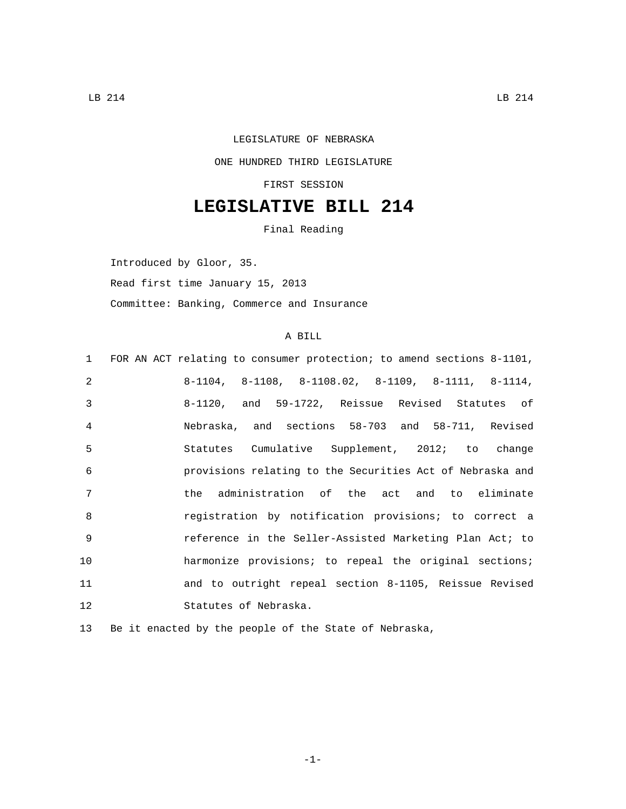## LEGISLATURE OF NEBRASKA ONE HUNDRED THIRD LEGISLATURE FIRST SESSION

## **LEGISLATIVE BILL 214**

Final Reading

Introduced by Gloor, 35.

Read first time January 15, 2013

Committee: Banking, Commerce and Insurance

## A BILL

| $1 \quad \Box$ | FOR AN ACT relating to consumer protection; to amend sections 8-1101, |
|----------------|-----------------------------------------------------------------------|
| $\mathfrak{D}$ | $8-1104$ , $8-1108$ , $8-1108.02$ , $8-1109$ , $8-1111$ , $8-1114$ ,  |
| 3              | 8-1120, and 59-1722, Reissue Revised Statutes of                      |
| $\overline{4}$ | Nebraska, and sections 58-703 and 58-711, Revised                     |
| 5              | Statutes Cumulative Supplement, 2012; to change                       |
| 6              | provisions relating to the Securities Act of Nebraska and             |
| 7              | the administration of the act and to eliminate                        |
| 8              | registration by notification provisions; to correct a                 |
| $\mathsf{Q}$   | reference in the Seller-Assisted Marketing Plan Act; to               |
| 10             | harmonize provisions; to repeal the original sections;                |
| 11             | and to outright repeal section 8-1105, Reissue Revised                |
| 12             | Statutes of Nebraska.                                                 |
|                |                                                                       |

13 Be it enacted by the people of the State of Nebraska,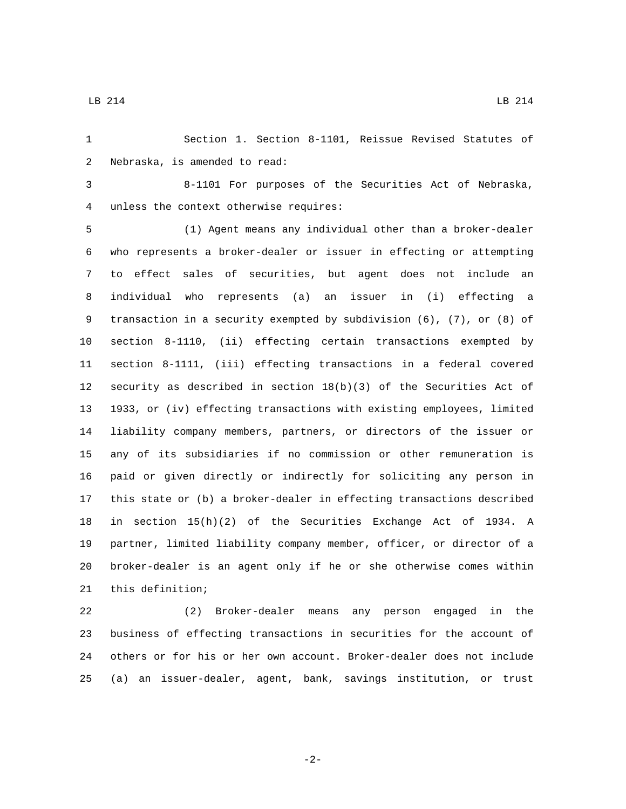Section 1. Section 8-1101, Reissue Revised Statutes of 2 Nebraska, is amended to read:

 8-1101 For purposes of the Securities Act of Nebraska, unless the context otherwise requires:4

 (1) Agent means any individual other than a broker-dealer who represents a broker-dealer or issuer in effecting or attempting to effect sales of securities, but agent does not include an individual who represents (a) an issuer in (i) effecting a transaction in a security exempted by subdivision (6), (7), or (8) of section 8-1110, (ii) effecting certain transactions exempted by section 8-1111, (iii) effecting transactions in a federal covered security as described in section 18(b)(3) of the Securities Act of 1933, or (iv) effecting transactions with existing employees, limited liability company members, partners, or directors of the issuer or any of its subsidiaries if no commission or other remuneration is paid or given directly or indirectly for soliciting any person in this state or (b) a broker-dealer in effecting transactions described in section 15(h)(2) of the Securities Exchange Act of 1934. A partner, limited liability company member, officer, or director of a broker-dealer is an agent only if he or she otherwise comes within 21 this definition;

 (2) Broker-dealer means any person engaged in the business of effecting transactions in securities for the account of others or for his or her own account. Broker-dealer does not include (a) an issuer-dealer, agent, bank, savings institution, or trust

-2-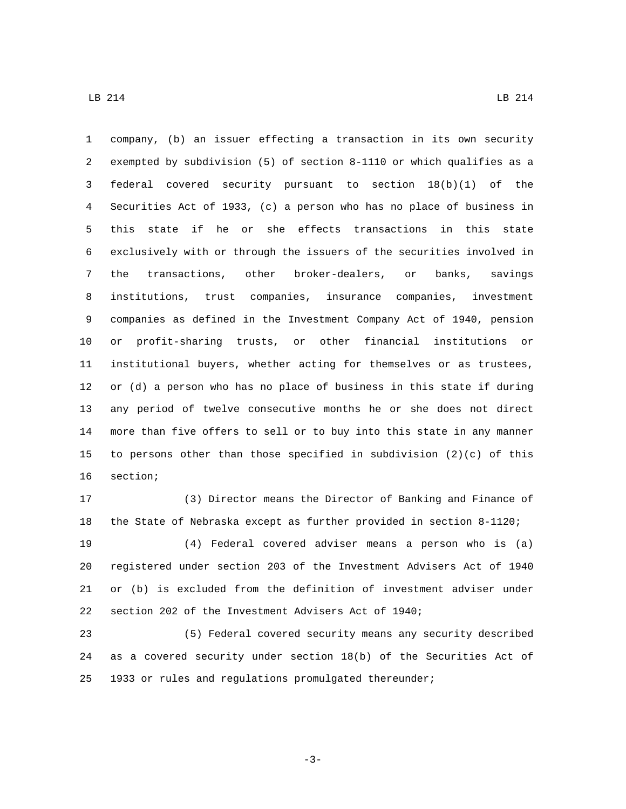company, (b) an issuer effecting a transaction in its own security exempted by subdivision (5) of section 8-1110 or which qualifies as a federal covered security pursuant to section 18(b)(1) of the Securities Act of 1933, (c) a person who has no place of business in this state if he or she effects transactions in this state exclusively with or through the issuers of the securities involved in the transactions, other broker-dealers, or banks, savings institutions, trust companies, insurance companies, investment companies as defined in the Investment Company Act of 1940, pension or profit-sharing trusts, or other financial institutions or institutional buyers, whether acting for themselves or as trustees, or (d) a person who has no place of business in this state if during any period of twelve consecutive months he or she does not direct more than five offers to sell or to buy into this state in any manner to persons other than those specified in subdivision (2)(c) of this 16 section;

 (3) Director means the Director of Banking and Finance of the State of Nebraska except as further provided in section 8-1120;

 (4) Federal covered adviser means a person who is (a) registered under section 203 of the Investment Advisers Act of 1940 or (b) is excluded from the definition of investment adviser under section 202 of the Investment Advisers Act of 1940;

 (5) Federal covered security means any security described as a covered security under section 18(b) of the Securities Act of 1933 or rules and regulations promulgated thereunder;

-3-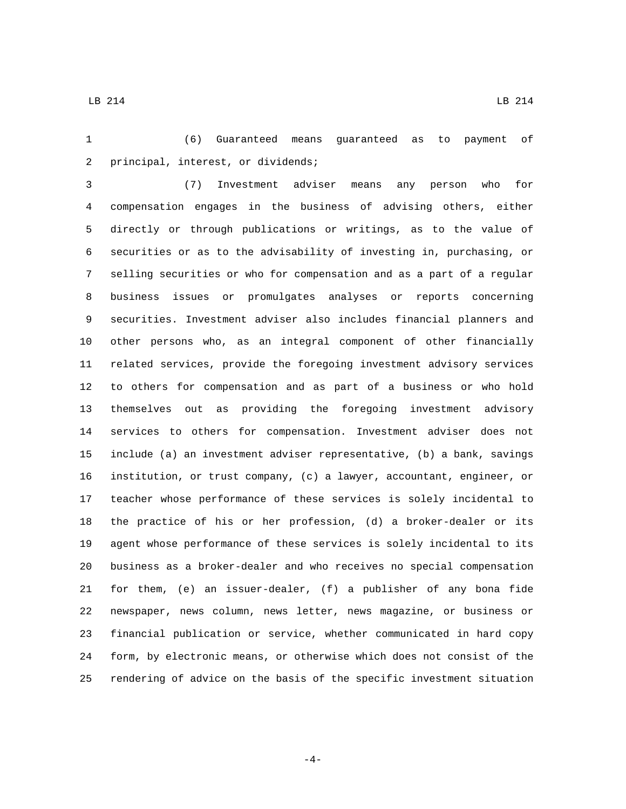(6) Guaranteed means guaranteed as to payment of 2 principal, interest, or dividends;

 (7) Investment adviser means any person who for compensation engages in the business of advising others, either directly or through publications or writings, as to the value of securities or as to the advisability of investing in, purchasing, or selling securities or who for compensation and as a part of a regular business issues or promulgates analyses or reports concerning securities. Investment adviser also includes financial planners and other persons who, as an integral component of other financially related services, provide the foregoing investment advisory services to others for compensation and as part of a business or who hold themselves out as providing the foregoing investment advisory services to others for compensation. Investment adviser does not include (a) an investment adviser representative, (b) a bank, savings institution, or trust company, (c) a lawyer, accountant, engineer, or teacher whose performance of these services is solely incidental to the practice of his or her profession, (d) a broker-dealer or its agent whose performance of these services is solely incidental to its business as a broker-dealer and who receives no special compensation for them, (e) an issuer-dealer, (f) a publisher of any bona fide newspaper, news column, news letter, news magazine, or business or financial publication or service, whether communicated in hard copy form, by electronic means, or otherwise which does not consist of the rendering of advice on the basis of the specific investment situation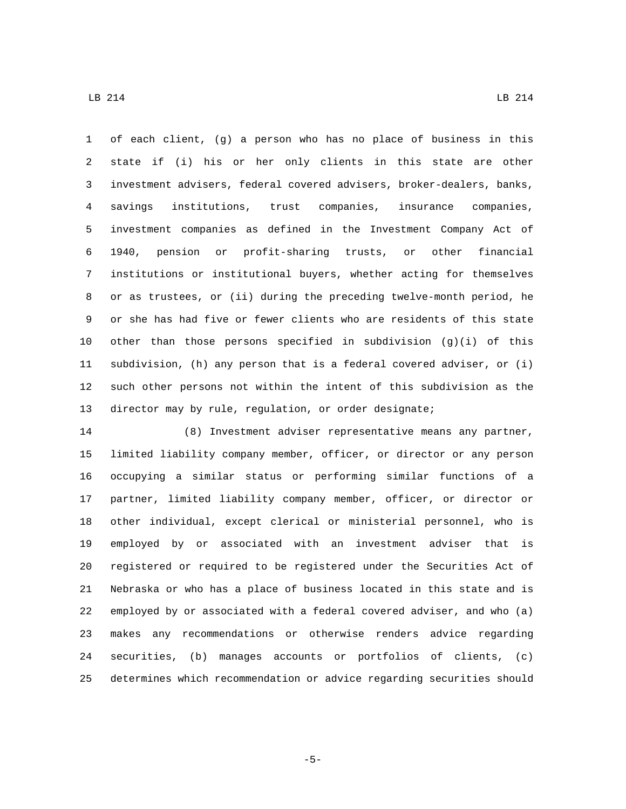of each client, (g) a person who has no place of business in this state if (i) his or her only clients in this state are other investment advisers, federal covered advisers, broker-dealers, banks, savings institutions, trust companies, insurance companies, investment companies as defined in the Investment Company Act of 1940, pension or profit-sharing trusts, or other financial institutions or institutional buyers, whether acting for themselves or as trustees, or (ii) during the preceding twelve-month period, he or she has had five or fewer clients who are residents of this state 10 other than those persons specified in subdivision  $(g)(i)$  of this subdivision, (h) any person that is a federal covered adviser, or (i) such other persons not within the intent of this subdivision as the 13 director may by rule, regulation, or order designate;

 (8) Investment adviser representative means any partner, limited liability company member, officer, or director or any person occupying a similar status or performing similar functions of a partner, limited liability company member, officer, or director or other individual, except clerical or ministerial personnel, who is employed by or associated with an investment adviser that is registered or required to be registered under the Securities Act of Nebraska or who has a place of business located in this state and is employed by or associated with a federal covered adviser, and who (a) makes any recommendations or otherwise renders advice regarding securities, (b) manages accounts or portfolios of clients, (c) determines which recommendation or advice regarding securities should

 $\text{LB}$  214 LB 214

-5-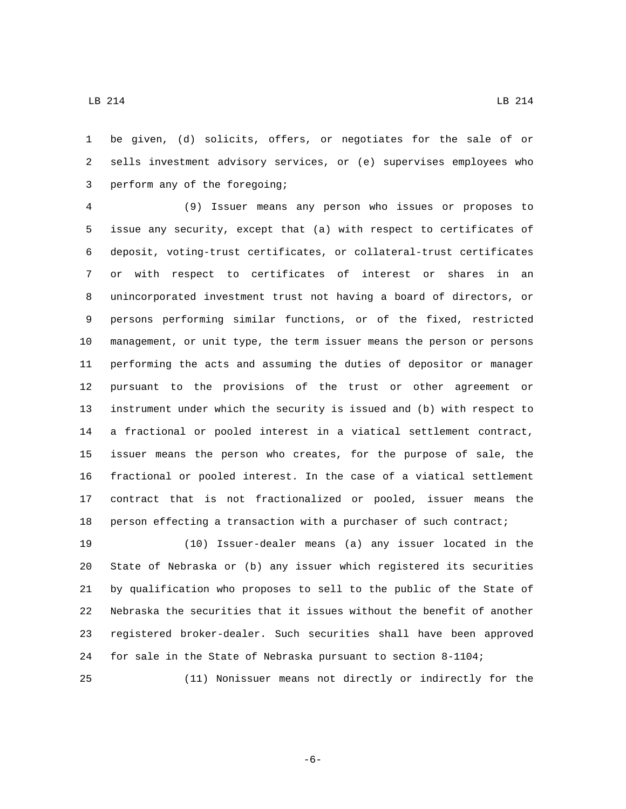be given, (d) solicits, offers, or negotiates for the sale of or sells investment advisory services, or (e) supervises employees who 3 perform any of the foregoing;

 (9) Issuer means any person who issues or proposes to issue any security, except that (a) with respect to certificates of deposit, voting-trust certificates, or collateral-trust certificates or with respect to certificates of interest or shares in an unincorporated investment trust not having a board of directors, or persons performing similar functions, or of the fixed, restricted management, or unit type, the term issuer means the person or persons performing the acts and assuming the duties of depositor or manager pursuant to the provisions of the trust or other agreement or instrument under which the security is issued and (b) with respect to a fractional or pooled interest in a viatical settlement contract, issuer means the person who creates, for the purpose of sale, the fractional or pooled interest. In the case of a viatical settlement contract that is not fractionalized or pooled, issuer means the person effecting a transaction with a purchaser of such contract;

 (10) Issuer-dealer means (a) any issuer located in the State of Nebraska or (b) any issuer which registered its securities by qualification who proposes to sell to the public of the State of Nebraska the securities that it issues without the benefit of another registered broker-dealer. Such securities shall have been approved for sale in the State of Nebraska pursuant to section 8-1104;

(11) Nonissuer means not directly or indirectly for the

-6-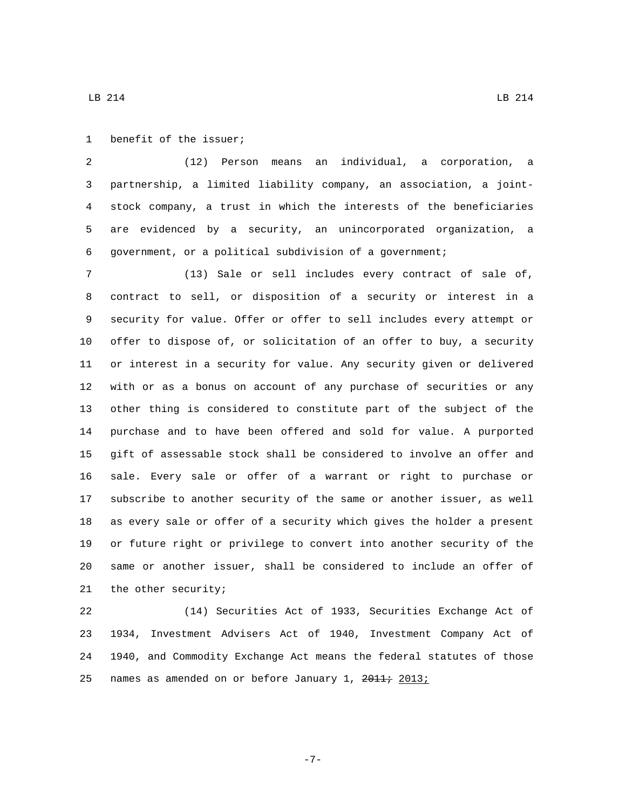1 benefit of the issuer;

 (12) Person means an individual, a corporation, a partnership, a limited liability company, an association, a joint- stock company, a trust in which the interests of the beneficiaries are evidenced by a security, an unincorporated organization, a government, or a political subdivision of a government;

 (13) Sale or sell includes every contract of sale of, contract to sell, or disposition of a security or interest in a security for value. Offer or offer to sell includes every attempt or offer to dispose of, or solicitation of an offer to buy, a security or interest in a security for value. Any security given or delivered with or as a bonus on account of any purchase of securities or any other thing is considered to constitute part of the subject of the purchase and to have been offered and sold for value. A purported gift of assessable stock shall be considered to involve an offer and sale. Every sale or offer of a warrant or right to purchase or subscribe to another security of the same or another issuer, as well as every sale or offer of a security which gives the holder a present or future right or privilege to convert into another security of the same or another issuer, shall be considered to include an offer of 21 the other security;

 (14) Securities Act of 1933, Securities Exchange Act of 1934, Investment Advisers Act of 1940, Investment Company Act of 1940, and Commodity Exchange Act means the federal statutes of those 25 names as amended on or before January 1, 2011; 2013;

 $\text{LB}$  214 LB 214

-7-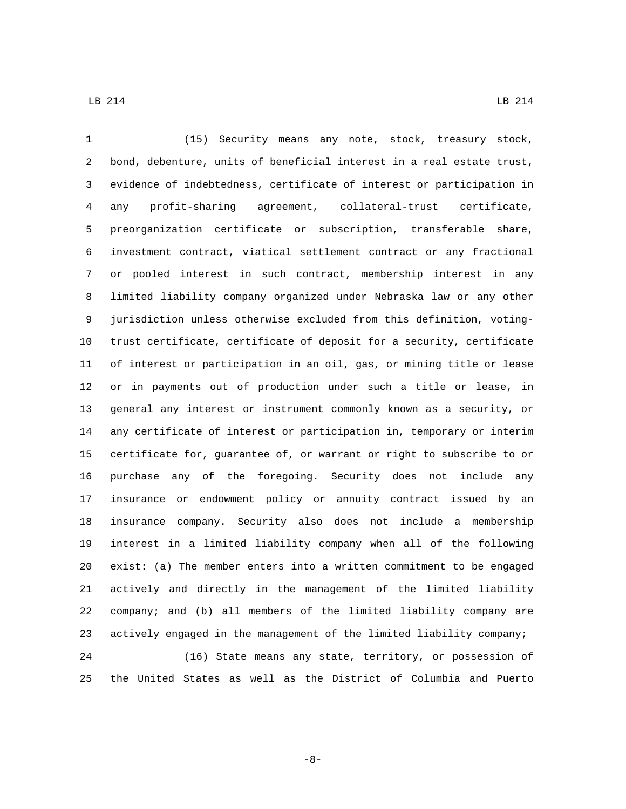(15) Security means any note, stock, treasury stock, bond, debenture, units of beneficial interest in a real estate trust, evidence of indebtedness, certificate of interest or participation in any profit-sharing agreement, collateral-trust certificate, preorganization certificate or subscription, transferable share, investment contract, viatical settlement contract or any fractional or pooled interest in such contract, membership interest in any limited liability company organized under Nebraska law or any other jurisdiction unless otherwise excluded from this definition, voting- trust certificate, certificate of deposit for a security, certificate of interest or participation in an oil, gas, or mining title or lease or in payments out of production under such a title or lease, in general any interest or instrument commonly known as a security, or any certificate of interest or participation in, temporary or interim certificate for, guarantee of, or warrant or right to subscribe to or purchase any of the foregoing. Security does not include any insurance or endowment policy or annuity contract issued by an insurance company. Security also does not include a membership interest in a limited liability company when all of the following exist: (a) The member enters into a written commitment to be engaged actively and directly in the management of the limited liability company; and (b) all members of the limited liability company are actively engaged in the management of the limited liability company; (16) State means any state, territory, or possession of the United States as well as the District of Columbia and Puerto

-8-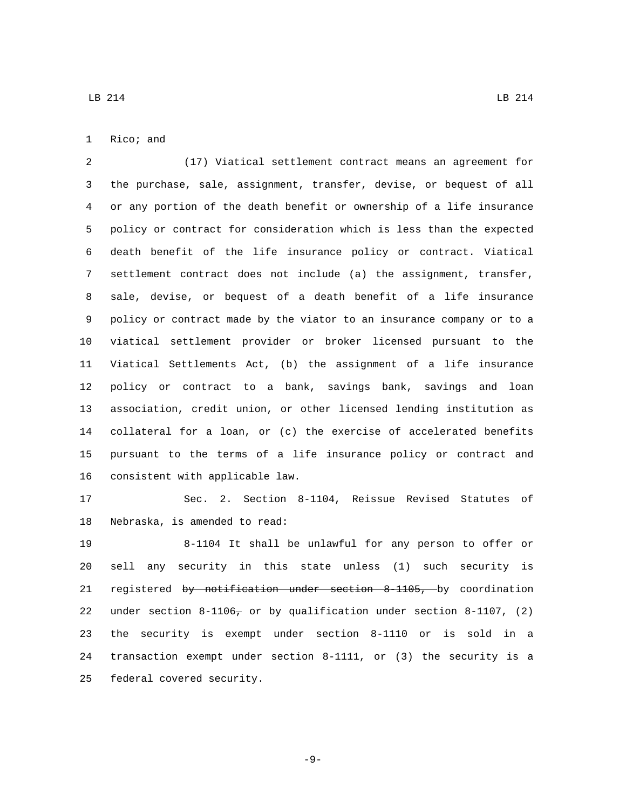(17) Viatical settlement contract means an agreement for the purchase, sale, assignment, transfer, devise, or bequest of all or any portion of the death benefit or ownership of a life insurance policy or contract for consideration which is less than the expected death benefit of the life insurance policy or contract. Viatical settlement contract does not include (a) the assignment, transfer, sale, devise, or bequest of a death benefit of a life insurance policy or contract made by the viator to an insurance company or to a viatical settlement provider or broker licensed pursuant to the Viatical Settlements Act, (b) the assignment of a life insurance policy or contract to a bank, savings bank, savings and loan association, credit union, or other licensed lending institution as collateral for a loan, or (c) the exercise of accelerated benefits pursuant to the terms of a life insurance policy or contract and 16 consistent with applicable law.

 Sec. 2. Section 8-1104, Reissue Revised Statutes of 18 Nebraska, is amended to read:

 8-1104 It shall be unlawful for any person to offer or sell any security in this state unless (1) such security is registered by notification under section 8-1105, by coordination 22 under section  $8-1106<sub>7</sub>$  or by qualification under section  $8-1107$ , (2) the security is exempt under section 8-1110 or is sold in a transaction exempt under section 8-1111, or (3) the security is a 25 federal covered security.

-9-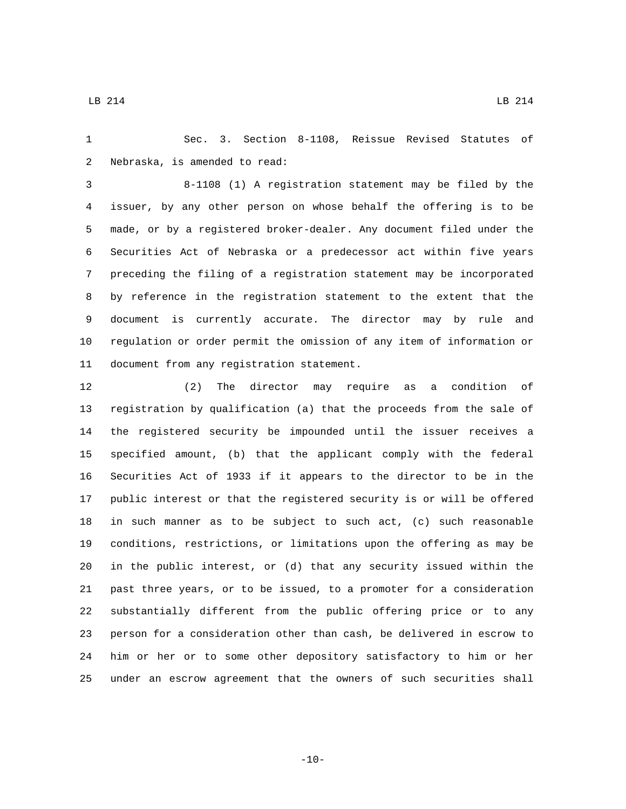Sec. 3. Section 8-1108, Reissue Revised Statutes of 2 Nebraska, is amended to read:

 8-1108 (1) A registration statement may be filed by the issuer, by any other person on whose behalf the offering is to be made, or by a registered broker-dealer. Any document filed under the Securities Act of Nebraska or a predecessor act within five years preceding the filing of a registration statement may be incorporated by reference in the registration statement to the extent that the document is currently accurate. The director may by rule and regulation or order permit the omission of any item of information or 11 document from any registration statement.

 (2) The director may require as a condition of registration by qualification (a) that the proceeds from the sale of the registered security be impounded until the issuer receives a specified amount, (b) that the applicant comply with the federal Securities Act of 1933 if it appears to the director to be in the public interest or that the registered security is or will be offered in such manner as to be subject to such act, (c) such reasonable conditions, restrictions, or limitations upon the offering as may be in the public interest, or (d) that any security issued within the past three years, or to be issued, to a promoter for a consideration substantially different from the public offering price or to any person for a consideration other than cash, be delivered in escrow to him or her or to some other depository satisfactory to him or her under an escrow agreement that the owners of such securities shall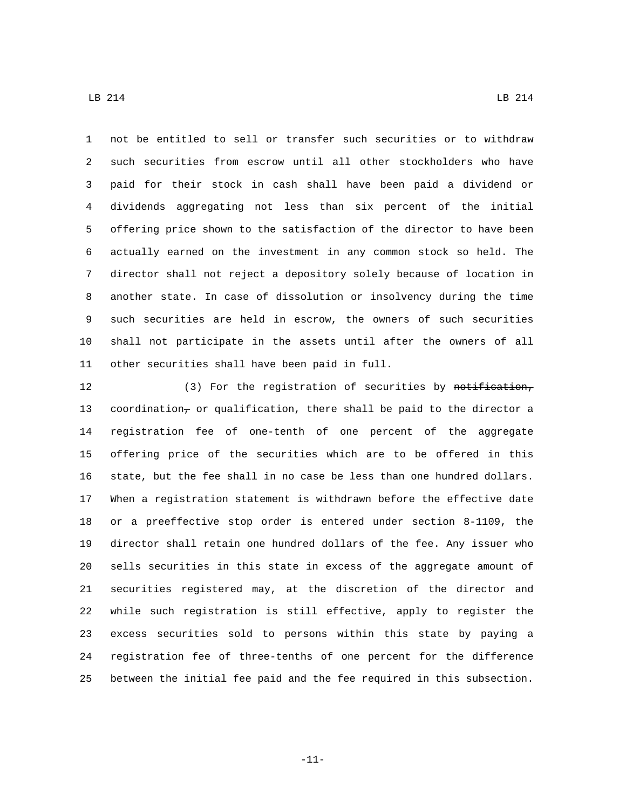not be entitled to sell or transfer such securities or to withdraw such securities from escrow until all other stockholders who have paid for their stock in cash shall have been paid a dividend or dividends aggregating not less than six percent of the initial offering price shown to the satisfaction of the director to have been actually earned on the investment in any common stock so held. The director shall not reject a depository solely because of location in another state. In case of dissolution or insolvency during the time such securities are held in escrow, the owners of such securities shall not participate in the assets until after the owners of all 11 other securities shall have been paid in full.

12 (3) For the registration of securities by notification, 13 coordination<sub>7</sub> or qualification, there shall be paid to the director a registration fee of one-tenth of one percent of the aggregate offering price of the securities which are to be offered in this state, but the fee shall in no case be less than one hundred dollars. When a registration statement is withdrawn before the effective date or a preeffective stop order is entered under section 8-1109, the director shall retain one hundred dollars of the fee. Any issuer who sells securities in this state in excess of the aggregate amount of securities registered may, at the discretion of the director and while such registration is still effective, apply to register the excess securities sold to persons within this state by paying a registration fee of three-tenths of one percent for the difference between the initial fee paid and the fee required in this subsection.

-11-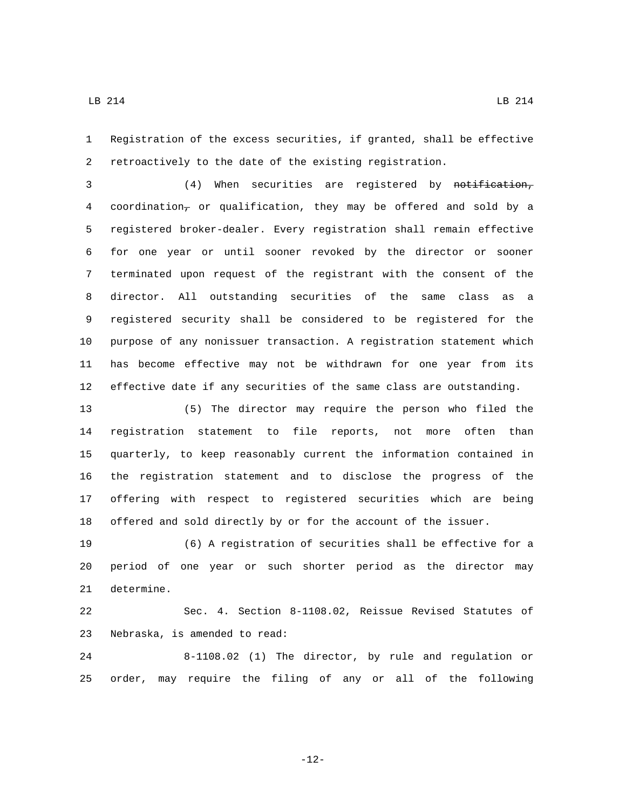Registration of the excess securities, if granted, shall be effective retroactively to the date of the existing registration.

3 (4) When securities are registered by notification, 4 coordination<sub>7</sub> or qualification, they may be offered and sold by a registered broker-dealer. Every registration shall remain effective for one year or until sooner revoked by the director or sooner terminated upon request of the registrant with the consent of the director. All outstanding securities of the same class as a registered security shall be considered to be registered for the purpose of any nonissuer transaction. A registration statement which has become effective may not be withdrawn for one year from its effective date if any securities of the same class are outstanding.

 (5) The director may require the person who filed the registration statement to file reports, not more often than quarterly, to keep reasonably current the information contained in the registration statement and to disclose the progress of the offering with respect to registered securities which are being offered and sold directly by or for the account of the issuer.

 (6) A registration of securities shall be effective for a period of one year or such shorter period as the director may 21 determine.

 Sec. 4. Section 8-1108.02, Reissue Revised Statutes of 23 Nebraska, is amended to read:

 8-1108.02 (1) The director, by rule and regulation or order, may require the filing of any or all of the following

-12-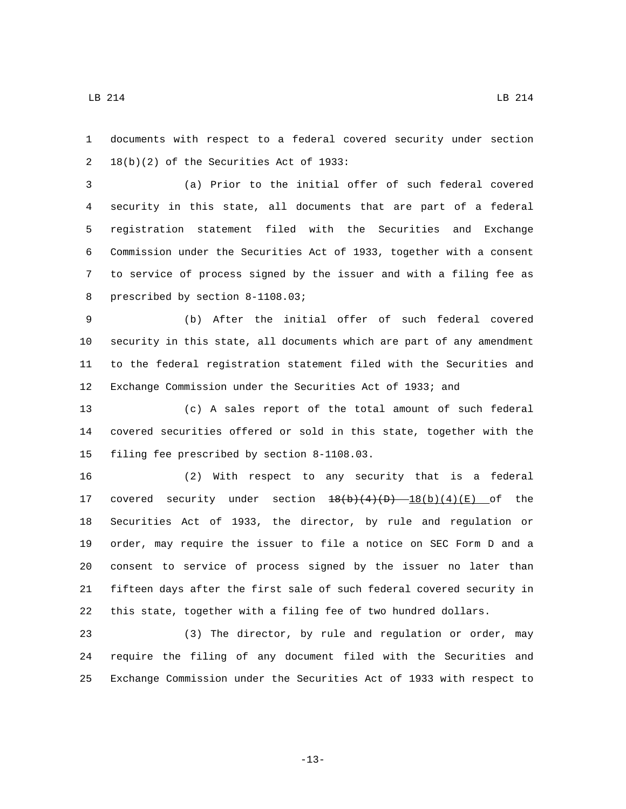documents with respect to a federal covered security under section  $18(b)(2)$  of the Securities Act of 1933:

 (a) Prior to the initial offer of such federal covered security in this state, all documents that are part of a federal registration statement filed with the Securities and Exchange Commission under the Securities Act of 1933, together with a consent to service of process signed by the issuer and with a filing fee as 8 prescribed by section 8-1108.03;

 (b) After the initial offer of such federal covered security in this state, all documents which are part of any amendment to the federal registration statement filed with the Securities and Exchange Commission under the Securities Act of 1933; and

 (c) A sales report of the total amount of such federal covered securities offered or sold in this state, together with the 15 filing fee prescribed by section 8-1108.03.

 (2) With respect to any security that is a federal 17 covered security under section  $\frac{18(b)(4)(D) - 18(b)(4)(E)}{20}$  of the Securities Act of 1933, the director, by rule and regulation or order, may require the issuer to file a notice on SEC Form D and a consent to service of process signed by the issuer no later than fifteen days after the first sale of such federal covered security in this state, together with a filing fee of two hundred dollars.

 (3) The director, by rule and regulation or order, may require the filing of any document filed with the Securities and Exchange Commission under the Securities Act of 1933 with respect to

-13-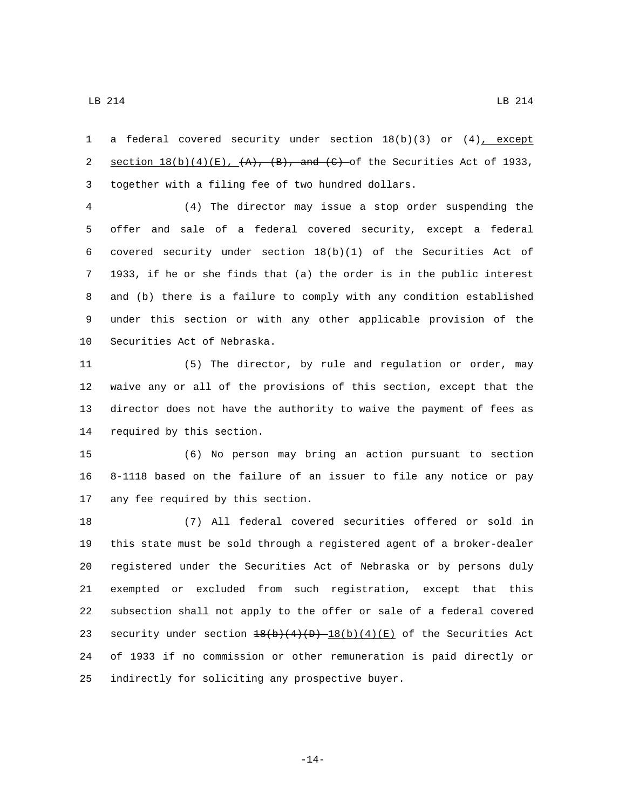1 a federal covered security under section  $18(b)(3)$  or  $(4)$ , except 2 section  $18(b)(4)(E)$ ,  $(A)$ ,  $(B)$ , and  $(C)$  of the Securities Act of 1933, 3 together with a filing fee of two hundred dollars.

 (4) The director may issue a stop order suspending the offer and sale of a federal covered security, except a federal covered security under section 18(b)(1) of the Securities Act of 1933, if he or she finds that (a) the order is in the public interest and (b) there is a failure to comply with any condition established under this section or with any other applicable provision of the 10 Securities Act of Nebraska.

 (5) The director, by rule and regulation or order, may waive any or all of the provisions of this section, except that the director does not have the authority to waive the payment of fees as 14 required by this section.

 (6) No person may bring an action pursuant to section 8-1118 based on the failure of an issuer to file any notice or pay 17 any fee required by this section.

 (7) All federal covered securities offered or sold in this state must be sold through a registered agent of a broker-dealer registered under the Securities Act of Nebraska or by persons duly exempted or excluded from such registration, except that this subsection shall not apply to the offer or sale of a federal covered 23 security under section  $\frac{18(b)(4)(D)-18(b)(4)(E)}{20}$  of the Securities Act of 1933 if no commission or other remuneration is paid directly or 25 indirectly for soliciting any prospective buyer.

-14-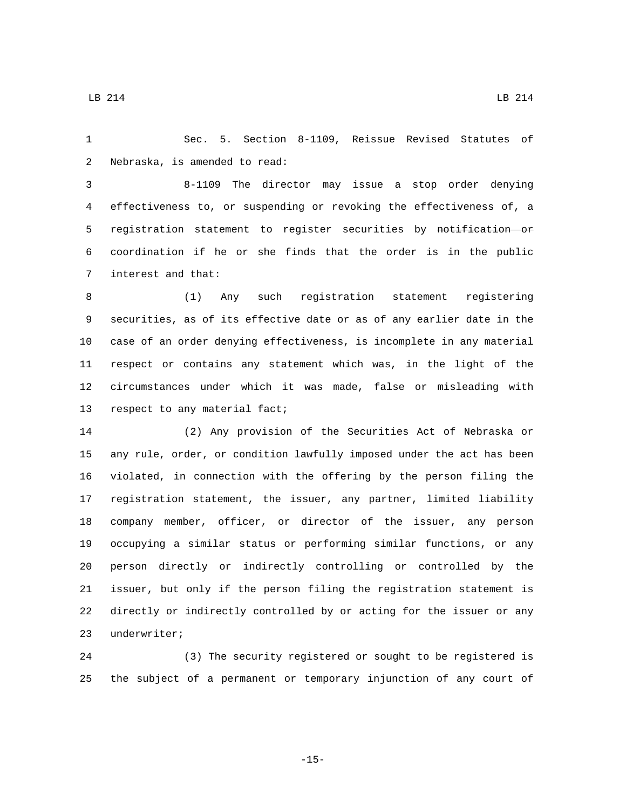Sec. 5. Section 8-1109, Reissue Revised Statutes of 2 Nebraska, is amended to read:

 8-1109 The director may issue a stop order denying effectiveness to, or suspending or revoking the effectiveness of, a registration statement to register securities by notification or coordination if he or she finds that the order is in the public 7 interest and that:

 (1) Any such registration statement registering securities, as of its effective date or as of any earlier date in the case of an order denying effectiveness, is incomplete in any material respect or contains any statement which was, in the light of the circumstances under which it was made, false or misleading with 13 respect to any material fact;

 (2) Any provision of the Securities Act of Nebraska or any rule, order, or condition lawfully imposed under the act has been violated, in connection with the offering by the person filing the registration statement, the issuer, any partner, limited liability company member, officer, or director of the issuer, any person occupying a similar status or performing similar functions, or any person directly or indirectly controlling or controlled by the issuer, but only if the person filing the registration statement is directly or indirectly controlled by or acting for the issuer or any 23 underwriter;

 (3) The security registered or sought to be registered is the subject of a permanent or temporary injunction of any court of

-15-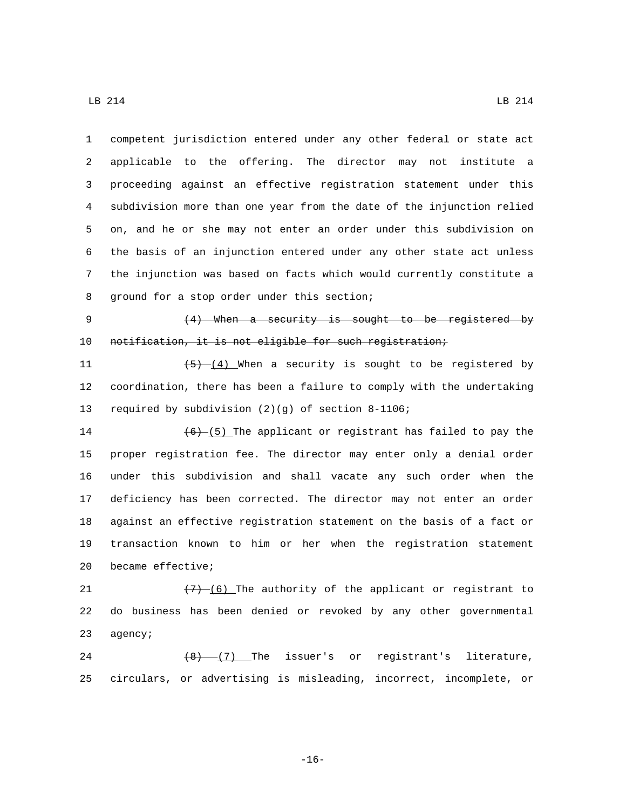competent jurisdiction entered under any other federal or state act applicable to the offering. The director may not institute a proceeding against an effective registration statement under this subdivision more than one year from the date of the injunction relied on, and he or she may not enter an order under this subdivision on the basis of an injunction entered under any other state act unless the injunction was based on facts which would currently constitute a 8 ground for a stop order under this section;

9 (4) When a security is sought to be registered by 10 notification, it is not eligible for such registration;

11  $\sqrt{(5)-(4)}$  When a security is sought to be registered by 12 coordination, there has been a failure to comply with the undertaking 13 required by subdivision  $(2)(g)$  of section 8-1106;

 $(6)$   $(5)$  The applicant or registrant has failed to pay the proper registration fee. The director may enter only a denial order under this subdivision and shall vacate any such order when the deficiency has been corrected. The director may not enter an order against an effective registration statement on the basis of a fact or transaction known to him or her when the registration statement 20 became effective;

21  $(7)-(6)$  The authority of the applicant or registrant to 22 do business has been denied or revoked by any other governmental 23 agency;

24  $(8)$   $(7)$  The issuer's or registrant's literature, 25 circulars, or advertising is misleading, incorrect, incomplete, or

-16-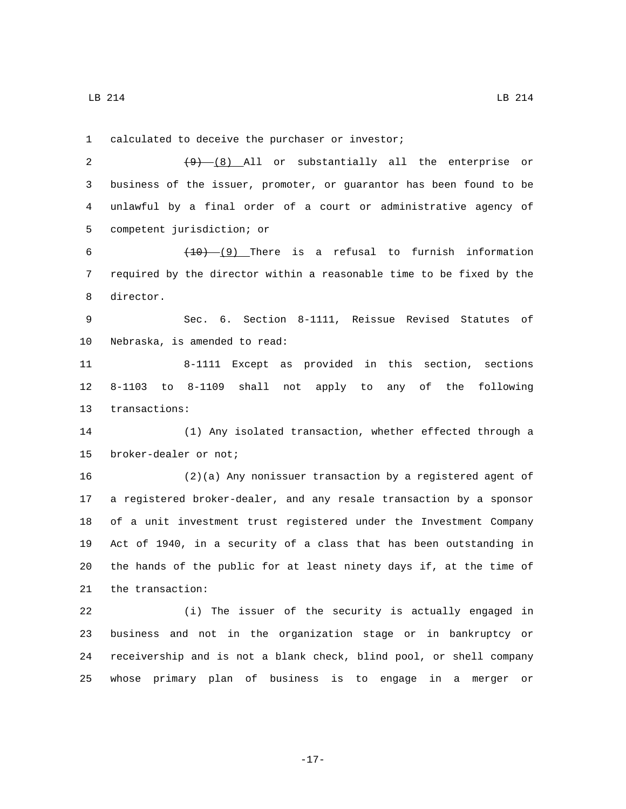1 calculated to deceive the purchaser or investor;

2 (9) (8) All or substantially all the enterprise or business of the issuer, promoter, or guarantor has been found to be unlawful by a final order of a court or administrative agency of 5 competent jurisdiction; or

 $(10)-(9)$  There is a refusal to furnish information required by the director within a reasonable time to be fixed by the 8 director.

 Sec. 6. Section 8-1111, Reissue Revised Statutes of 10 Nebraska, is amended to read:

 8-1111 Except as provided in this section, sections 8-1103 to 8-1109 shall not apply to any of the following 13 transactions:

 (1) Any isolated transaction, whether effected through a 15 broker-dealer or not;

 (2)(a) Any nonissuer transaction by a registered agent of a registered broker-dealer, and any resale transaction by a sponsor of a unit investment trust registered under the Investment Company Act of 1940, in a security of a class that has been outstanding in the hands of the public for at least ninety days if, at the time of 21 the transaction:

 (i) The issuer of the security is actually engaged in business and not in the organization stage or in bankruptcy or receivership and is not a blank check, blind pool, or shell company whose primary plan of business is to engage in a merger or

-17-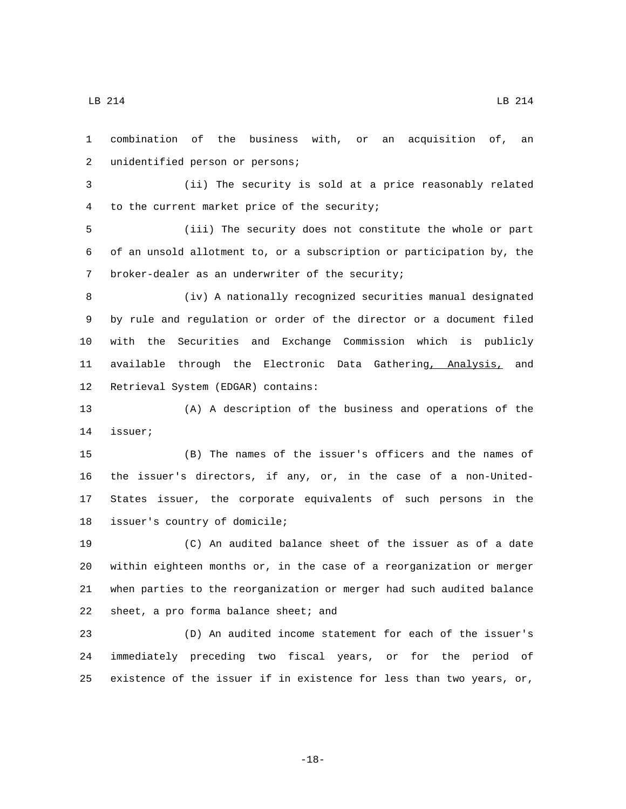combination of the business with, or an acquisition of, an 2 unidentified person or persons; (ii) The security is sold at a price reasonably related 4 to the current market price of the security; (iii) The security does not constitute the whole or part of an unsold allotment to, or a subscription or participation by, the 7 broker-dealer as an underwriter of the security; (iv) A nationally recognized securities manual designated by rule and regulation or order of the director or a document filed with the Securities and Exchange Commission which is publicly available through the Electronic Data Gathering, Analysis, and 12 Retrieval System (EDGAR) contains: (A) A description of the business and operations of the 14 issuer; (B) The names of the issuer's officers and the names of the issuer's directors, if any, or, in the case of a non-United- States issuer, the corporate equivalents of such persons in the 18 issuer's country of domicile; (C) An audited balance sheet of the issuer as of a date within eighteen months or, in the case of a reorganization or merger when parties to the reorganization or merger had such audited balance 22 sheet, a pro forma balance sheet; and (D) An audited income statement for each of the issuer's

 immediately preceding two fiscal years, or for the period of existence of the issuer if in existence for less than two years, or,

-18-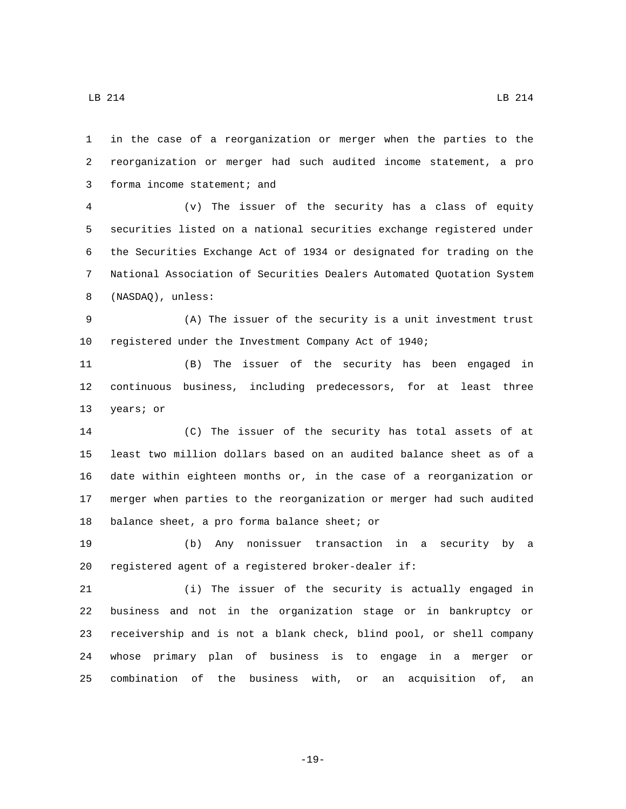in the case of a reorganization or merger when the parties to the reorganization or merger had such audited income statement, a pro 3 forma income statement; and

 (v) The issuer of the security has a class of equity securities listed on a national securities exchange registered under the Securities Exchange Act of 1934 or designated for trading on the National Association of Securities Dealers Automated Quotation System 8 (NASDAQ), unless:

 (A) The issuer of the security is a unit investment trust registered under the Investment Company Act of 1940;

 (B) The issuer of the security has been engaged in continuous business, including predecessors, for at least three 13 years; or

 (C) The issuer of the security has total assets of at least two million dollars based on an audited balance sheet as of a date within eighteen months or, in the case of a reorganization or merger when parties to the reorganization or merger had such audited 18 balance sheet, a pro forma balance sheet; or

 (b) Any nonissuer transaction in a security by a registered agent of a registered broker-dealer if:

 (i) The issuer of the security is actually engaged in business and not in the organization stage or in bankruptcy or receivership and is not a blank check, blind pool, or shell company whose primary plan of business is to engage in a merger or combination of the business with, or an acquisition of, an

-19-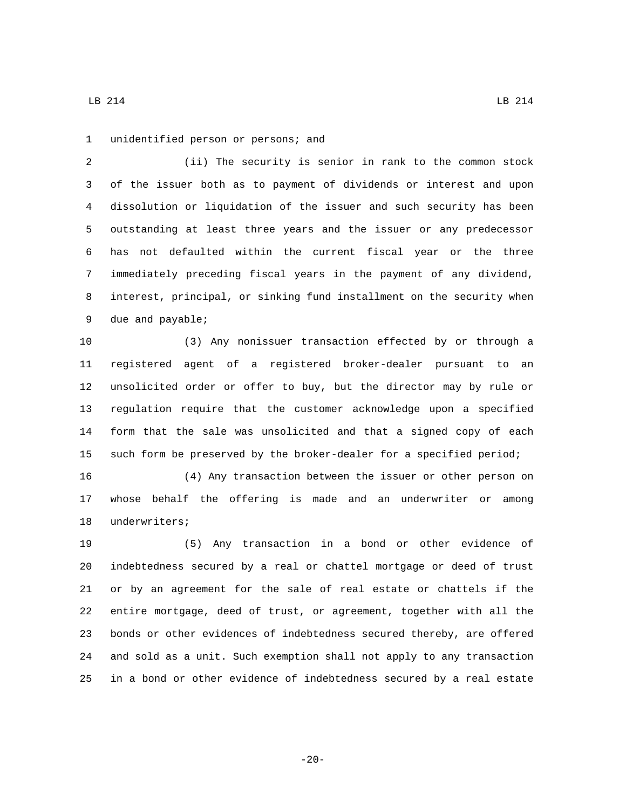1 unidentified person or persons; and

 (ii) The security is senior in rank to the common stock of the issuer both as to payment of dividends or interest and upon dissolution or liquidation of the issuer and such security has been outstanding at least three years and the issuer or any predecessor has not defaulted within the current fiscal year or the three immediately preceding fiscal years in the payment of any dividend, interest, principal, or sinking fund installment on the security when 9 due and payable;

 (3) Any nonissuer transaction effected by or through a registered agent of a registered broker-dealer pursuant to an unsolicited order or offer to buy, but the director may by rule or regulation require that the customer acknowledge upon a specified form that the sale was unsolicited and that a signed copy of each such form be preserved by the broker-dealer for a specified period;

 (4) Any transaction between the issuer or other person on whose behalf the offering is made and an underwriter or among 18 underwriters;

 (5) Any transaction in a bond or other evidence of indebtedness secured by a real or chattel mortgage or deed of trust or by an agreement for the sale of real estate or chattels if the entire mortgage, deed of trust, or agreement, together with all the bonds or other evidences of indebtedness secured thereby, are offered and sold as a unit. Such exemption shall not apply to any transaction in a bond or other evidence of indebtedness secured by a real estate

 $\text{LB}$  214 LB 214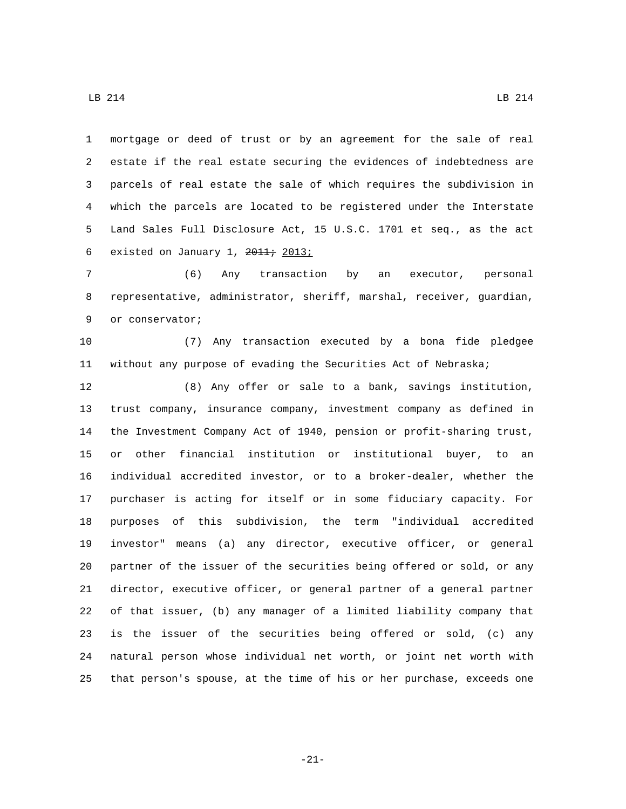mortgage or deed of trust or by an agreement for the sale of real estate if the real estate securing the evidences of indebtedness are parcels of real estate the sale of which requires the subdivision in which the parcels are located to be registered under the Interstate Land Sales Full Disclosure Act, 15 U.S.C. 1701 et seq., as the act 6 existed on January 1,

 (6) Any transaction by an executor, personal representative, administrator, sheriff, marshal, receiver, guardian, 9 or conservator;

 (7) Any transaction executed by a bona fide pledgee without any purpose of evading the Securities Act of Nebraska;

 (8) Any offer or sale to a bank, savings institution, trust company, insurance company, investment company as defined in the Investment Company Act of 1940, pension or profit-sharing trust, or other financial institution or institutional buyer, to an individual accredited investor, or to a broker-dealer, whether the purchaser is acting for itself or in some fiduciary capacity. For purposes of this subdivision, the term "individual accredited investor" means (a) any director, executive officer, or general partner of the issuer of the securities being offered or sold, or any director, executive officer, or general partner of a general partner of that issuer, (b) any manager of a limited liability company that is the issuer of the securities being offered or sold, (c) any natural person whose individual net worth, or joint net worth with that person's spouse, at the time of his or her purchase, exceeds one

-21-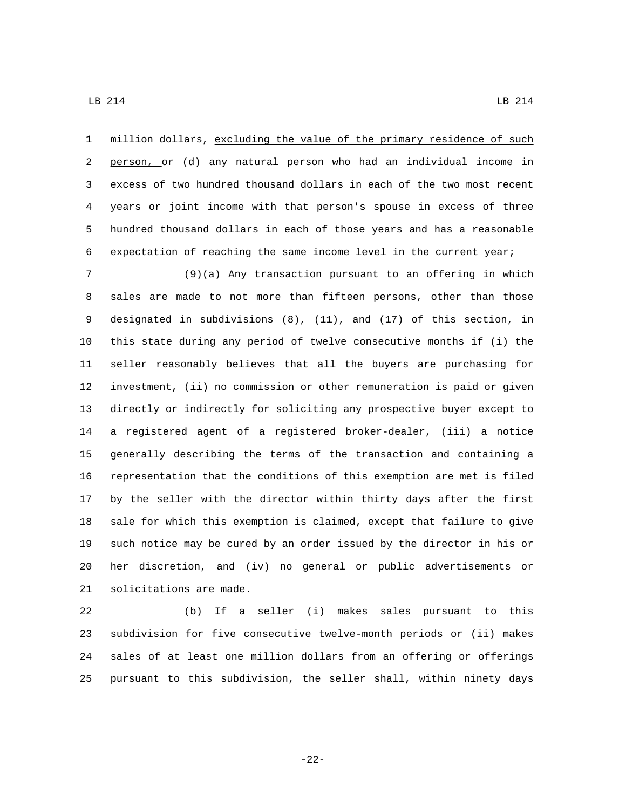million dollars, excluding the value of the primary residence of such person, or (d) any natural person who had an individual income in excess of two hundred thousand dollars in each of the two most recent years or joint income with that person's spouse in excess of three hundred thousand dollars in each of those years and has a reasonable expectation of reaching the same income level in the current year;

 (9)(a) Any transaction pursuant to an offering in which sales are made to not more than fifteen persons, other than those designated in subdivisions (8), (11), and (17) of this section, in this state during any period of twelve consecutive months if (i) the seller reasonably believes that all the buyers are purchasing for investment, (ii) no commission or other remuneration is paid or given directly or indirectly for soliciting any prospective buyer except to a registered agent of a registered broker-dealer, (iii) a notice generally describing the terms of the transaction and containing a representation that the conditions of this exemption are met is filed by the seller with the director within thirty days after the first sale for which this exemption is claimed, except that failure to give such notice may be cured by an order issued by the director in his or her discretion, and (iv) no general or public advertisements or 21 solicitations are made.

 (b) If a seller (i) makes sales pursuant to this subdivision for five consecutive twelve-month periods or (ii) makes sales of at least one million dollars from an offering or offerings pursuant to this subdivision, the seller shall, within ninety days

-22-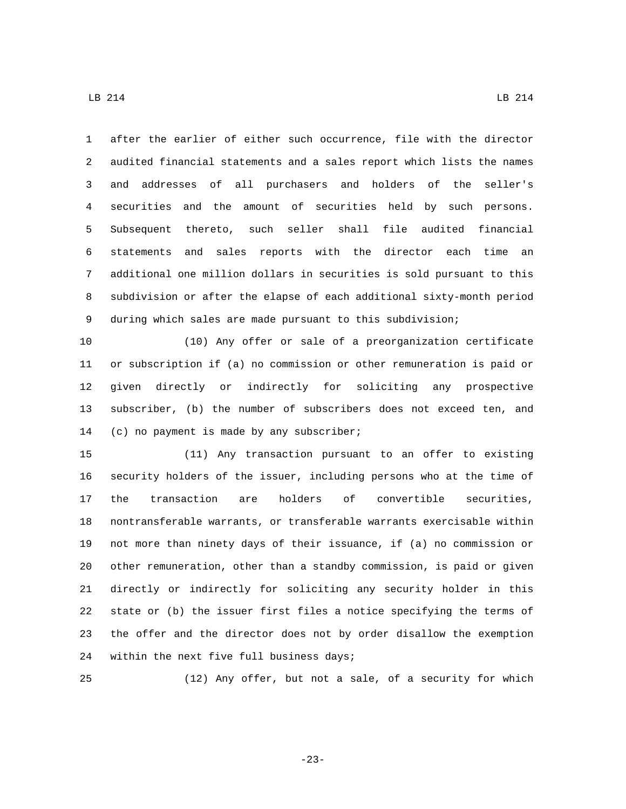after the earlier of either such occurrence, file with the director audited financial statements and a sales report which lists the names and addresses of all purchasers and holders of the seller's securities and the amount of securities held by such persons. Subsequent thereto, such seller shall file audited financial statements and sales reports with the director each time an additional one million dollars in securities is sold pursuant to this subdivision or after the elapse of each additional sixty-month period during which sales are made pursuant to this subdivision;

 (10) Any offer or sale of a preorganization certificate or subscription if (a) no commission or other remuneration is paid or given directly or indirectly for soliciting any prospective subscriber, (b) the number of subscribers does not exceed ten, and 14 (c) no payment is made by any subscriber;

 (11) Any transaction pursuant to an offer to existing security holders of the issuer, including persons who at the time of the transaction are holders of convertible securities, nontransferable warrants, or transferable warrants exercisable within not more than ninety days of their issuance, if (a) no commission or other remuneration, other than a standby commission, is paid or given directly or indirectly for soliciting any security holder in this state or (b) the issuer first files a notice specifying the terms of the offer and the director does not by order disallow the exemption 24 within the next five full business days;

(12) Any offer, but not a sale, of a security for which

-23-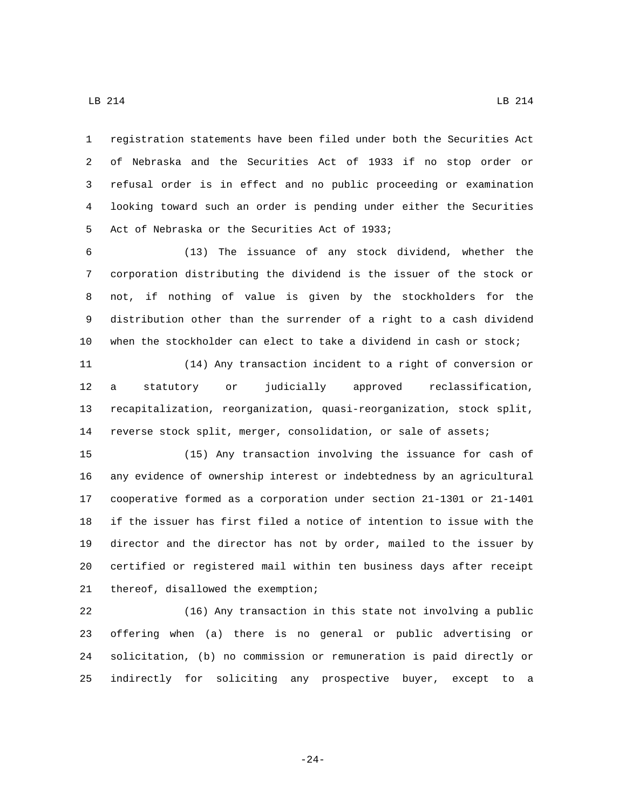registration statements have been filed under both the Securities Act of Nebraska and the Securities Act of 1933 if no stop order or refusal order is in effect and no public proceeding or examination looking toward such an order is pending under either the Securities 5 Act of Nebraska or the Securities Act of 1933;

 (13) The issuance of any stock dividend, whether the corporation distributing the dividend is the issuer of the stock or not, if nothing of value is given by the stockholders for the distribution other than the surrender of a right to a cash dividend when the stockholder can elect to take a dividend in cash or stock;

 (14) Any transaction incident to a right of conversion or a statutory or judicially approved reclassification, recapitalization, reorganization, quasi-reorganization, stock split, reverse stock split, merger, consolidation, or sale of assets;

 (15) Any transaction involving the issuance for cash of any evidence of ownership interest or indebtedness by an agricultural cooperative formed as a corporation under section 21-1301 or 21-1401 if the issuer has first filed a notice of intention to issue with the director and the director has not by order, mailed to the issuer by certified or registered mail within ten business days after receipt 21 thereof, disallowed the exemption;

 (16) Any transaction in this state not involving a public offering when (a) there is no general or public advertising or solicitation, (b) no commission or remuneration is paid directly or indirectly for soliciting any prospective buyer, except to a

-24-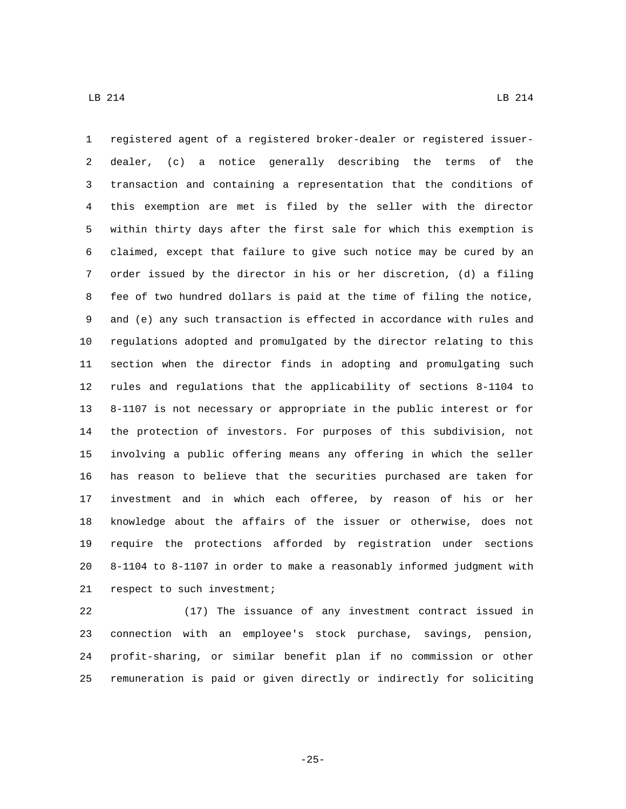registered agent of a registered broker-dealer or registered issuer- dealer, (c) a notice generally describing the terms of the transaction and containing a representation that the conditions of this exemption are met is filed by the seller with the director within thirty days after the first sale for which this exemption is claimed, except that failure to give such notice may be cured by an order issued by the director in his or her discretion, (d) a filing fee of two hundred dollars is paid at the time of filing the notice, and (e) any such transaction is effected in accordance with rules and regulations adopted and promulgated by the director relating to this section when the director finds in adopting and promulgating such rules and regulations that the applicability of sections 8-1104 to 8-1107 is not necessary or appropriate in the public interest or for the protection of investors. For purposes of this subdivision, not involving a public offering means any offering in which the seller has reason to believe that the securities purchased are taken for investment and in which each offeree, by reason of his or her knowledge about the affairs of the issuer or otherwise, does not require the protections afforded by registration under sections 8-1104 to 8-1107 in order to make a reasonably informed judgment with 21 respect to such investment;

 (17) The issuance of any investment contract issued in connection with an employee's stock purchase, savings, pension, profit-sharing, or similar benefit plan if no commission or other remuneration is paid or given directly or indirectly for soliciting

-25-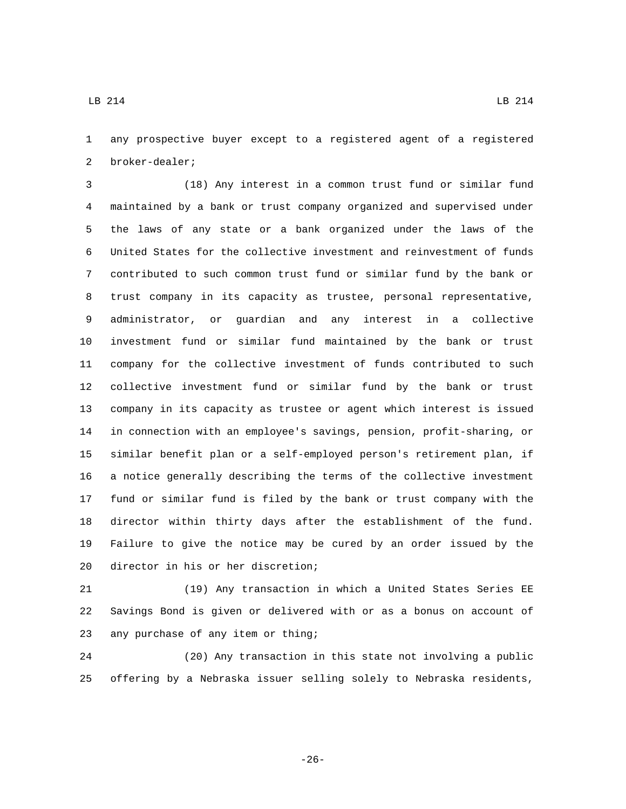any prospective buyer except to a registered agent of a registered 2 broker-dealer;

 (18) Any interest in a common trust fund or similar fund maintained by a bank or trust company organized and supervised under the laws of any state or a bank organized under the laws of the United States for the collective investment and reinvestment of funds contributed to such common trust fund or similar fund by the bank or trust company in its capacity as trustee, personal representative, administrator, or guardian and any interest in a collective investment fund or similar fund maintained by the bank or trust company for the collective investment of funds contributed to such collective investment fund or similar fund by the bank or trust company in its capacity as trustee or agent which interest is issued in connection with an employee's savings, pension, profit-sharing, or similar benefit plan or a self-employed person's retirement plan, if a notice generally describing the terms of the collective investment fund or similar fund is filed by the bank or trust company with the director within thirty days after the establishment of the fund. Failure to give the notice may be cured by an order issued by the 20 director in his or her discretion;

 (19) Any transaction in which a United States Series EE Savings Bond is given or delivered with or as a bonus on account of 23 any purchase of any item or thing;

 (20) Any transaction in this state not involving a public offering by a Nebraska issuer selling solely to Nebraska residents,

 $\text{LB}$  214 LB 214

-26-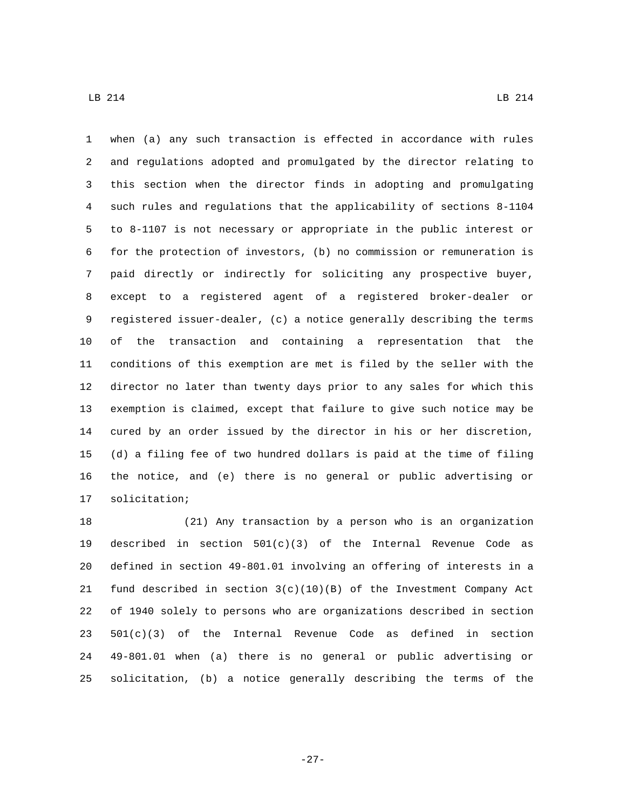when (a) any such transaction is effected in accordance with rules and regulations adopted and promulgated by the director relating to this section when the director finds in adopting and promulgating such rules and regulations that the applicability of sections 8-1104 to 8-1107 is not necessary or appropriate in the public interest or for the protection of investors, (b) no commission or remuneration is paid directly or indirectly for soliciting any prospective buyer, except to a registered agent of a registered broker-dealer or registered issuer-dealer, (c) a notice generally describing the terms of the transaction and containing a representation that the conditions of this exemption are met is filed by the seller with the director no later than twenty days prior to any sales for which this exemption is claimed, except that failure to give such notice may be cured by an order issued by the director in his or her discretion, (d) a filing fee of two hundred dollars is paid at the time of filing the notice, and (e) there is no general or public advertising or 17 solicitation;

 (21) Any transaction by a person who is an organization 19 described in section  $501(c)(3)$  of the Internal Revenue Code as defined in section 49-801.01 involving an offering of interests in a 21 fund described in section  $3(c)(10)(B)$  of the Investment Company Act of 1940 solely to persons who are organizations described in section 501(c)(3) of the Internal Revenue Code as defined in section 49-801.01 when (a) there is no general or public advertising or solicitation, (b) a notice generally describing the terms of the

-27-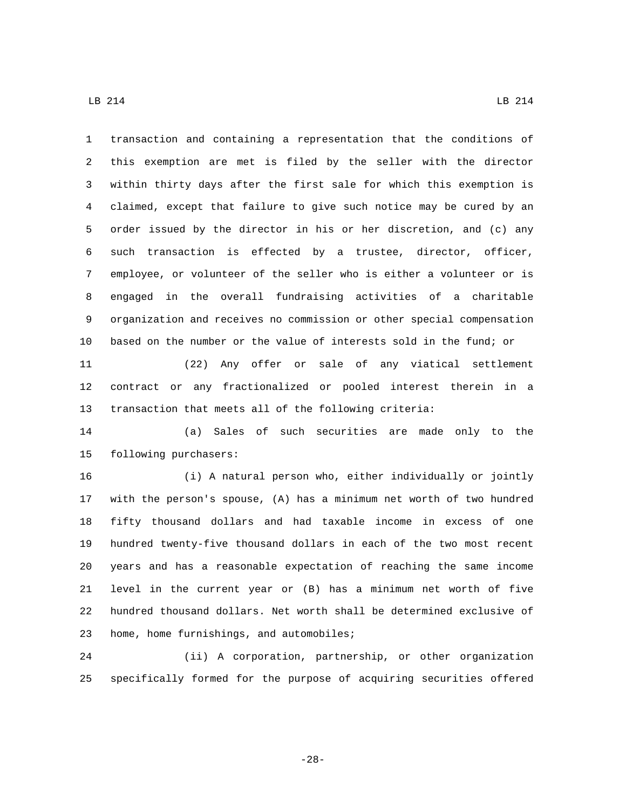transaction and containing a representation that the conditions of this exemption are met is filed by the seller with the director within thirty days after the first sale for which this exemption is claimed, except that failure to give such notice may be cured by an order issued by the director in his or her discretion, and (c) any such transaction is effected by a trustee, director, officer, employee, or volunteer of the seller who is either a volunteer or is engaged in the overall fundraising activities of a charitable organization and receives no commission or other special compensation based on the number or the value of interests sold in the fund; or

 (22) Any offer or sale of any viatical settlement contract or any fractionalized or pooled interest therein in a transaction that meets all of the following criteria:

 (a) Sales of such securities are made only to the 15 following purchasers:

 (i) A natural person who, either individually or jointly with the person's spouse, (A) has a minimum net worth of two hundred fifty thousand dollars and had taxable income in excess of one hundred twenty-five thousand dollars in each of the two most recent years and has a reasonable expectation of reaching the same income level in the current year or (B) has a minimum net worth of five hundred thousand dollars. Net worth shall be determined exclusive of 23 home, home furnishings, and automobiles;

 (ii) A corporation, partnership, or other organization specifically formed for the purpose of acquiring securities offered

-28-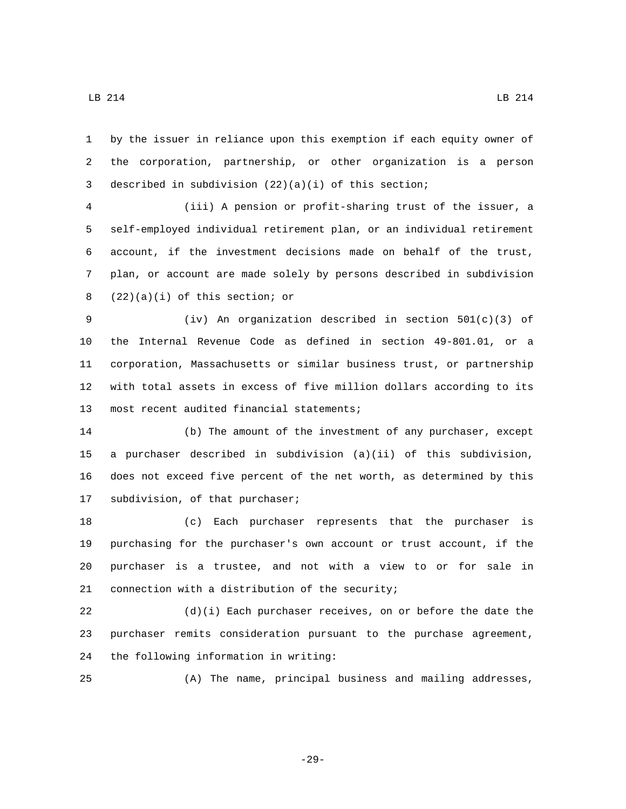by the issuer in reliance upon this exemption if each equity owner of the corporation, partnership, or other organization is a person described in subdivision (22)(a)(i) of this section;

 (iii) A pension or profit-sharing trust of the issuer, a self-employed individual retirement plan, or an individual retirement account, if the investment decisions made on behalf of the trust, plan, or account are made solely by persons described in subdivision  $(22)(a)(i)$  of this section; or

 (iv) An organization described in section 501(c)(3) of the Internal Revenue Code as defined in section 49-801.01, or a corporation, Massachusetts or similar business trust, or partnership with total assets in excess of five million dollars according to its 13 most recent audited financial statements;

 (b) The amount of the investment of any purchaser, except a purchaser described in subdivision (a)(ii) of this subdivision, does not exceed five percent of the net worth, as determined by this 17 subdivision, of that purchaser;

 (c) Each purchaser represents that the purchaser is purchasing for the purchaser's own account or trust account, if the purchaser is a trustee, and not with a view to or for sale in 21 connection with a distribution of the security;

 (d)(i) Each purchaser receives, on or before the date the purchaser remits consideration pursuant to the purchase agreement, 24 the following information in writing:

(A) The name, principal business and mailing addresses,

-29-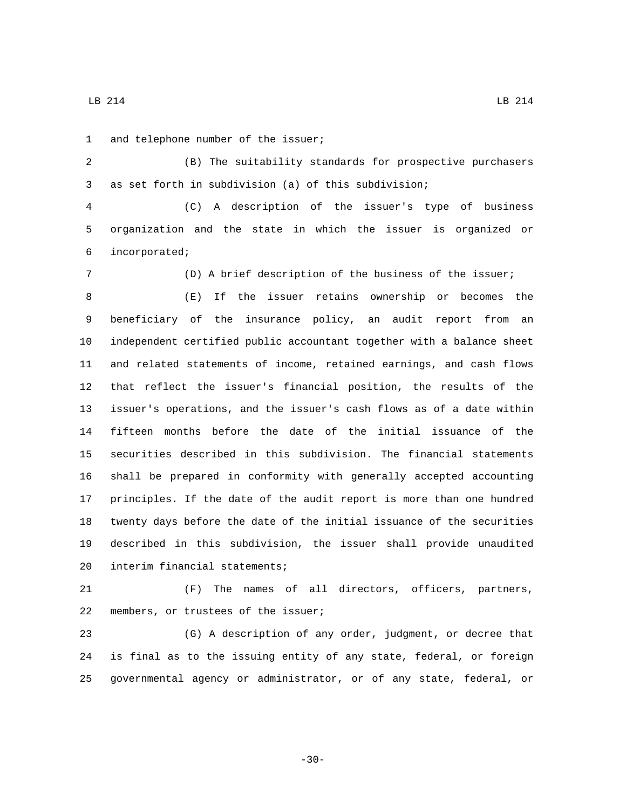1 and telephone number of the issuer;

 (B) The suitability standards for prospective purchasers as set forth in subdivision (a) of this subdivision;

 (C) A description of the issuer's type of business organization and the state in which the issuer is organized or incorporated;6

(D) A brief description of the business of the issuer;

 (E) If the issuer retains ownership or becomes the beneficiary of the insurance policy, an audit report from an independent certified public accountant together with a balance sheet and related statements of income, retained earnings, and cash flows that reflect the issuer's financial position, the results of the issuer's operations, and the issuer's cash flows as of a date within fifteen months before the date of the initial issuance of the securities described in this subdivision. The financial statements shall be prepared in conformity with generally accepted accounting principles. If the date of the audit report is more than one hundred twenty days before the date of the initial issuance of the securities described in this subdivision, the issuer shall provide unaudited 20 interim financial statements;

 (F) The names of all directors, officers, partners, 22 members, or trustees of the issuer;

 (G) A description of any order, judgment, or decree that is final as to the issuing entity of any state, federal, or foreign governmental agency or administrator, or of any state, federal, or

-30-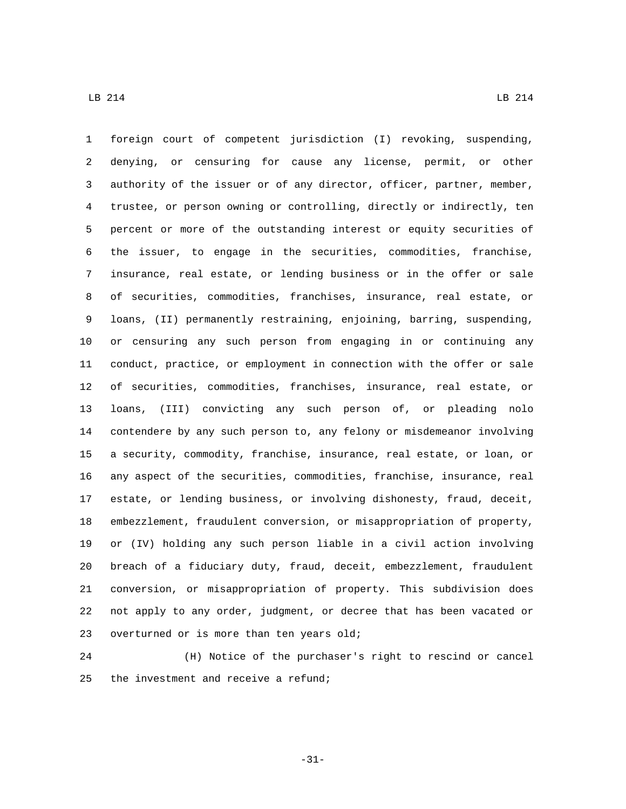foreign court of competent jurisdiction (I) revoking, suspending, denying, or censuring for cause any license, permit, or other authority of the issuer or of any director, officer, partner, member, trustee, or person owning or controlling, directly or indirectly, ten percent or more of the outstanding interest or equity securities of the issuer, to engage in the securities, commodities, franchise, insurance, real estate, or lending business or in the offer or sale of securities, commodities, franchises, insurance, real estate, or loans, (II) permanently restraining, enjoining, barring, suspending, or censuring any such person from engaging in or continuing any conduct, practice, or employment in connection with the offer or sale of securities, commodities, franchises, insurance, real estate, or loans, (III) convicting any such person of, or pleading nolo contendere by any such person to, any felony or misdemeanor involving a security, commodity, franchise, insurance, real estate, or loan, or any aspect of the securities, commodities, franchise, insurance, real estate, or lending business, or involving dishonesty, fraud, deceit, embezzlement, fraudulent conversion, or misappropriation of property, or (IV) holding any such person liable in a civil action involving breach of a fiduciary duty, fraud, deceit, embezzlement, fraudulent conversion, or misappropriation of property. This subdivision does not apply to any order, judgment, or decree that has been vacated or 23 overturned or is more than ten years old;

 (H) Notice of the purchaser's right to rescind or cancel 25 the investment and receive a refund;

-31-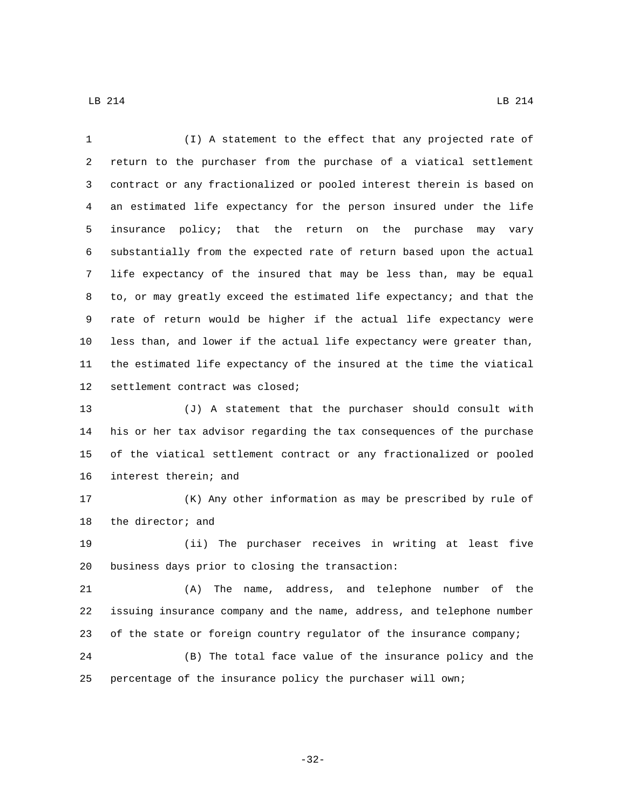(I) A statement to the effect that any projected rate of return to the purchaser from the purchase of a viatical settlement contract or any fractionalized or pooled interest therein is based on an estimated life expectancy for the person insured under the life insurance policy; that the return on the purchase may vary substantially from the expected rate of return based upon the actual life expectancy of the insured that may be less than, may be equal to, or may greatly exceed the estimated life expectancy; and that the rate of return would be higher if the actual life expectancy were less than, and lower if the actual life expectancy were greater than, the estimated life expectancy of the insured at the time the viatical 12 settlement contract was closed;

 (J) A statement that the purchaser should consult with his or her tax advisor regarding the tax consequences of the purchase of the viatical settlement contract or any fractionalized or pooled 16 interest therein; and

 (K) Any other information as may be prescribed by rule of 18 the director; and

 (ii) The purchaser receives in writing at least five 20 business days prior to closing the transaction:

 (A) The name, address, and telephone number of the issuing insurance company and the name, address, and telephone number of the state or foreign country regulator of the insurance company;

 (B) The total face value of the insurance policy and the percentage of the insurance policy the purchaser will own;

-32-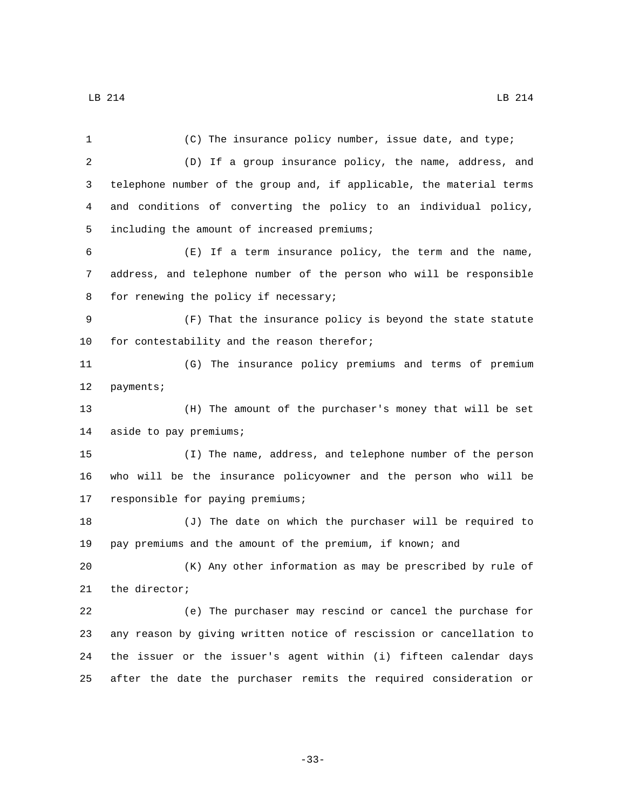| 1              | (C) The insurance policy number, issue date, and type;               |  |
|----------------|----------------------------------------------------------------------|--|
| $\overline{a}$ | (D) If a group insurance policy, the name, address, and              |  |
| 3              | telephone number of the group and, if applicable, the material terms |  |
| 4              | and conditions of converting the policy to an individual policy,     |  |
| 5              | including the amount of increased premiums;                          |  |
| 6              | (E) If a term insurance policy, the term and the name,               |  |
| 7              | address, and telephone number of the person who will be responsible  |  |
| 8              | for renewing the policy if necessary;                                |  |
| 9              | (F) That the insurance policy is beyond the state statute            |  |
| 10             | for contestability and the reason therefor;                          |  |
| 11             | (G) The insurance policy premiums and terms of premium               |  |
| 12             | payments;                                                            |  |
| 13             | (H) The amount of the purchaser's money that will be set             |  |
| 14             | aside to pay premiums;                                               |  |
| 15             | (I) The name, address, and telephone number of the person            |  |
| 16             | who will be the insurance policyowner and the person who will be     |  |
| 17             | responsible for paying premiums;                                     |  |
| 18             | (J) The date on which the purchaser will be required to              |  |
| 19             | pay premiums and the amount of the premium, if known; and            |  |
| 20             | (K) Any other information as may be prescribed by rule of            |  |
| 21             | the director;                                                        |  |
| 22             | (e) The purchaser may rescind or cancel the purchase for             |  |
| 23             | any reason by giving written notice of rescission or cancellation to |  |
| 24             | the issuer or the issuer's agent within (i) fifteen calendar days    |  |
| 25             | after the date the purchaser remits the required consideration or    |  |

-33-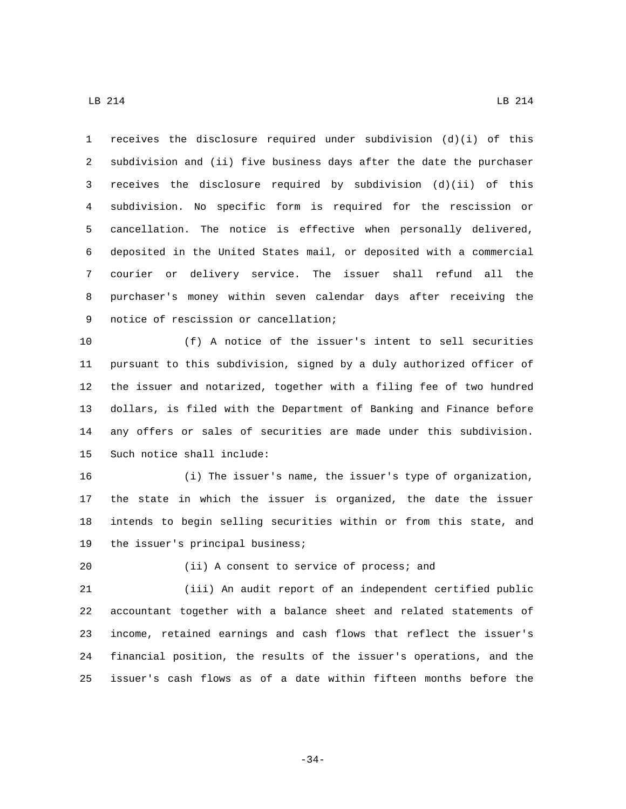receives the disclosure required under subdivision (d)(i) of this subdivision and (ii) five business days after the date the purchaser receives the disclosure required by subdivision (d)(ii) of this subdivision. No specific form is required for the rescission or cancellation. The notice is effective when personally delivered, deposited in the United States mail, or deposited with a commercial courier or delivery service. The issuer shall refund all the purchaser's money within seven calendar days after receiving the 9 notice of rescission or cancellation;

 (f) A notice of the issuer's intent to sell securities pursuant to this subdivision, signed by a duly authorized officer of the issuer and notarized, together with a filing fee of two hundred dollars, is filed with the Department of Banking and Finance before any offers or sales of securities are made under this subdivision. 15 Such notice shall include:

 (i) The issuer's name, the issuer's type of organization, the state in which the issuer is organized, the date the issuer intends to begin selling securities within or from this state, and 19 the issuer's principal business;

20 (ii) A consent to service of process; and

 (iii) An audit report of an independent certified public accountant together with a balance sheet and related statements of income, retained earnings and cash flows that reflect the issuer's financial position, the results of the issuer's operations, and the issuer's cash flows as of a date within fifteen months before the

-34-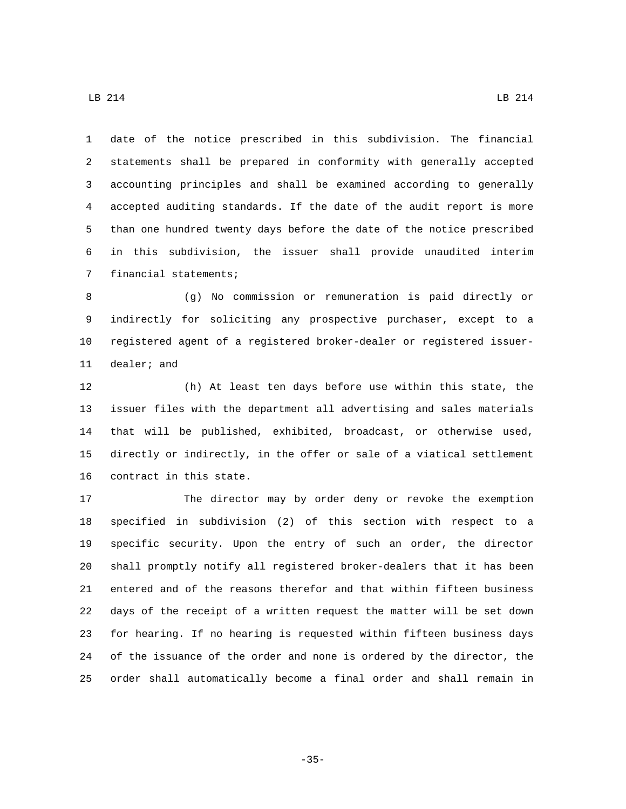date of the notice prescribed in this subdivision. The financial statements shall be prepared in conformity with generally accepted accounting principles and shall be examined according to generally accepted auditing standards. If the date of the audit report is more than one hundred twenty days before the date of the notice prescribed in this subdivision, the issuer shall provide unaudited interim 7 financial statements;

 (g) No commission or remuneration is paid directly or indirectly for soliciting any prospective purchaser, except to a registered agent of a registered broker-dealer or registered issuer-11 dealer; and

 (h) At least ten days before use within this state, the issuer files with the department all advertising and sales materials that will be published, exhibited, broadcast, or otherwise used, directly or indirectly, in the offer or sale of a viatical settlement 16 contract in this state.

 The director may by order deny or revoke the exemption specified in subdivision (2) of this section with respect to a specific security. Upon the entry of such an order, the director shall promptly notify all registered broker-dealers that it has been entered and of the reasons therefor and that within fifteen business days of the receipt of a written request the matter will be set down for hearing. If no hearing is requested within fifteen business days of the issuance of the order and none is ordered by the director, the order shall automatically become a final order and shall remain in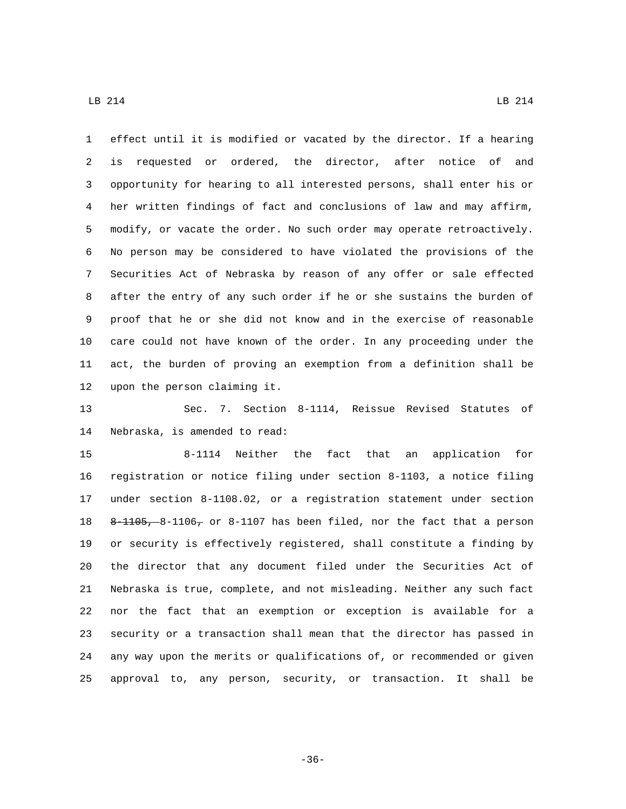effect until it is modified or vacated by the director. If a hearing is requested or ordered, the director, after notice of and opportunity for hearing to all interested persons, shall enter his or her written findings of fact and conclusions of law and may affirm, modify, or vacate the order. No such order may operate retroactively. No person may be considered to have violated the provisions of the Securities Act of Nebraska by reason of any offer or sale effected after the entry of any such order if he or she sustains the burden of proof that he or she did not know and in the exercise of reasonable care could not have known of the order. In any proceeding under the act, the burden of proving an exemption from a definition shall be 12 upon the person claiming it.

 Sec. 7. Section 8-1114, Reissue Revised Statutes of 14 Nebraska, is amended to read:

 8-1114 Neither the fact that an application for registration or notice filing under section 8-1103, a notice filing under section 8-1108.02, or a registration statement under section 8-1105, 8-1106, or 8-1107 has been filed, nor the fact that a person or security is effectively registered, shall constitute a finding by the director that any document filed under the Securities Act of Nebraska is true, complete, and not misleading. Neither any such fact nor the fact that an exemption or exception is available for a security or a transaction shall mean that the director has passed in any way upon the merits or qualifications of, or recommended or given approval to, any person, security, or transaction. It shall be

 $\text{LB}$  214 LB 214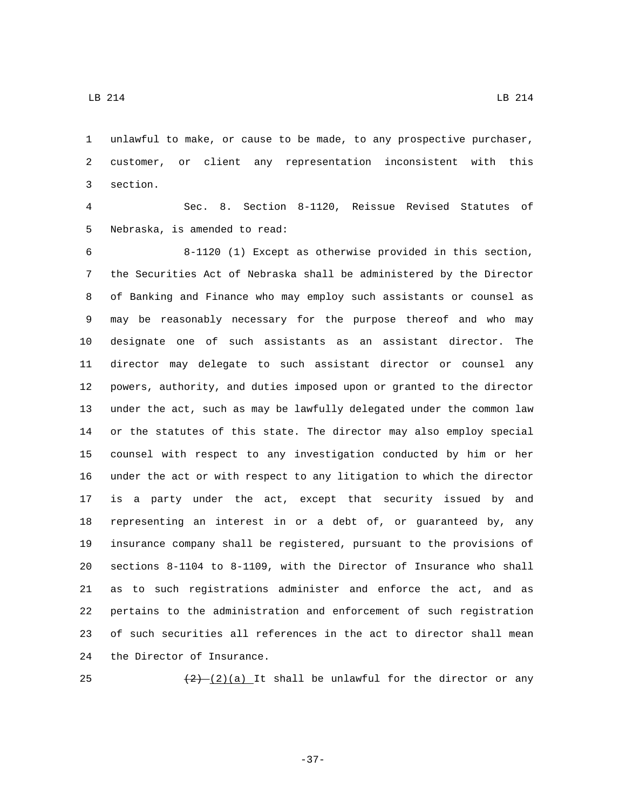unlawful to make, or cause to be made, to any prospective purchaser, customer, or client any representation inconsistent with this 3 section.

 Sec. 8. Section 8-1120, Reissue Revised Statutes of 5 Nebraska, is amended to read:

 8-1120 (1) Except as otherwise provided in this section, the Securities Act of Nebraska shall be administered by the Director of Banking and Finance who may employ such assistants or counsel as may be reasonably necessary for the purpose thereof and who may designate one of such assistants as an assistant director. The director may delegate to such assistant director or counsel any powers, authority, and duties imposed upon or granted to the director under the act, such as may be lawfully delegated under the common law or the statutes of this state. The director may also employ special counsel with respect to any investigation conducted by him or her under the act or with respect to any litigation to which the director is a party under the act, except that security issued by and representing an interest in or a debt of, or guaranteed by, any insurance company shall be registered, pursuant to the provisions of sections 8-1104 to 8-1109, with the Director of Insurance who shall as to such registrations administer and enforce the act, and as pertains to the administration and enforcement of such registration of such securities all references in the act to director shall mean 24 the Director of Insurance.

25  $\left(\frac{2}{2}\right)$  (2)(a) It shall be unlawful for the director or any

-37-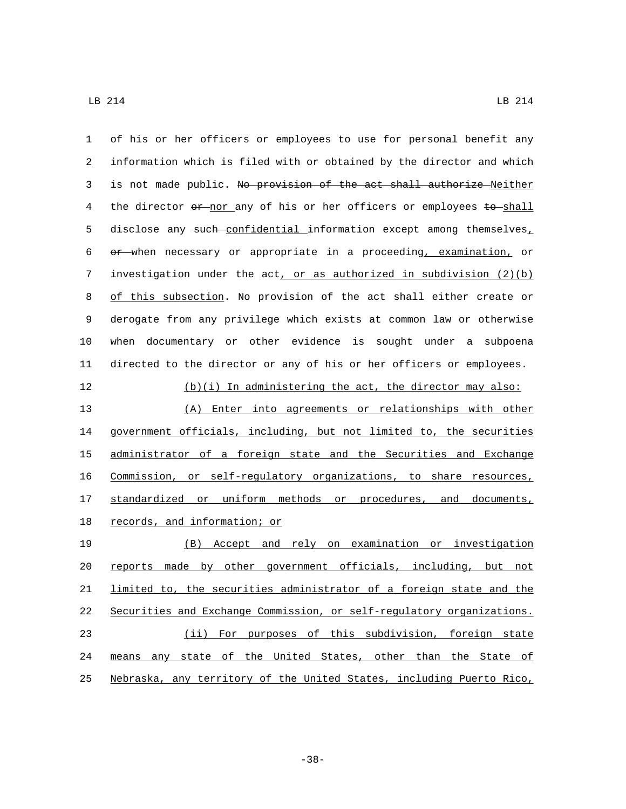| $\mathbf{1}$ | of his or her officers or employees to use for personal benefit any   |
|--------------|-----------------------------------------------------------------------|
| 2            | information which is filed with or obtained by the director and which |
| 3            | is not made public. No provision of the act shall authorize Neither   |
| 4            | the director or nor any of his or her officers or employees to shall  |
| 5            | disclose any such confidential information except among themselves,   |
| 6            | or when necessary or appropriate in a proceeding, examination, or     |
| 7            | investigation under the $act, or as authorized in subdivision (2)(b)$ |
| 8            | of this subsection. No provision of the act shall either create or    |
| 9            | derogate from any privilege which exists at common law or otherwise   |
| 10           | when documentary or other evidence is sought under a subpoena         |
| 11           | directed to the director or any of his or her officers or employees.  |
| 12           | (b)(i) In administering the act, the director may also:               |
| 13           | (A) Enter into agreements or relationships with other                 |
| 14           | government officials, including, but not limited to, the securities   |
| 15           | administrator of a foreign state and the Securities and Exchange      |
| 16           | Commission, or self-regulatory organizations, to share resources,     |
| 17           | standardized or uniform methods or procedures, and documents,         |
| 18           | <u>records, and information; or</u>                                   |
| 19           | (B) Accept and rely on examination or investigation                   |
| 20           | made by other government officials, including, but not<br>reports     |
| 21           | limited to, the securities administrator of a foreign state and the   |
| 22           | Securities and Exchange Commission, or self-regulatory organizations. |
| 23           | (ii) For purposes of this subdivision, foreign state                  |
| 24           | means any state of the United States, other than the State of         |
| 25           | Nebraska, any territory of the United States, including Puerto Rico,  |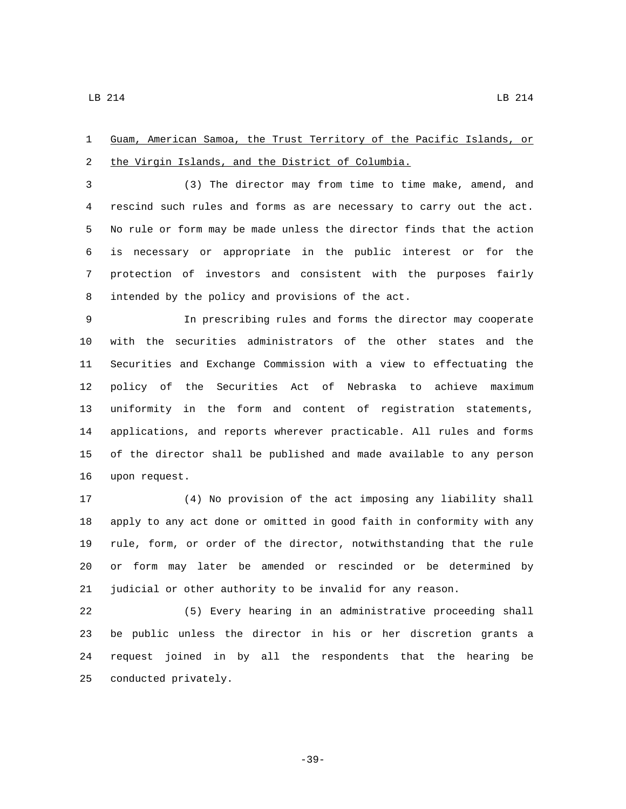Guam, American Samoa, the Trust Territory of the Pacific Islands, or 2 the Virgin Islands, and the District of Columbia.

 (3) The director may from time to time make, amend, and rescind such rules and forms as are necessary to carry out the act. No rule or form may be made unless the director finds that the action is necessary or appropriate in the public interest or for the protection of investors and consistent with the purposes fairly 8 intended by the policy and provisions of the act.

 In prescribing rules and forms the director may cooperate with the securities administrators of the other states and the Securities and Exchange Commission with a view to effectuating the policy of the Securities Act of Nebraska to achieve maximum uniformity in the form and content of registration statements, applications, and reports wherever practicable. All rules and forms of the director shall be published and made available to any person 16 upon request.

 (4) No provision of the act imposing any liability shall apply to any act done or omitted in good faith in conformity with any rule, form, or order of the director, notwithstanding that the rule or form may later be amended or rescinded or be determined by judicial or other authority to be invalid for any reason.

 (5) Every hearing in an administrative proceeding shall be public unless the director in his or her discretion grants a request joined in by all the respondents that the hearing be 25 conducted privately.

-39-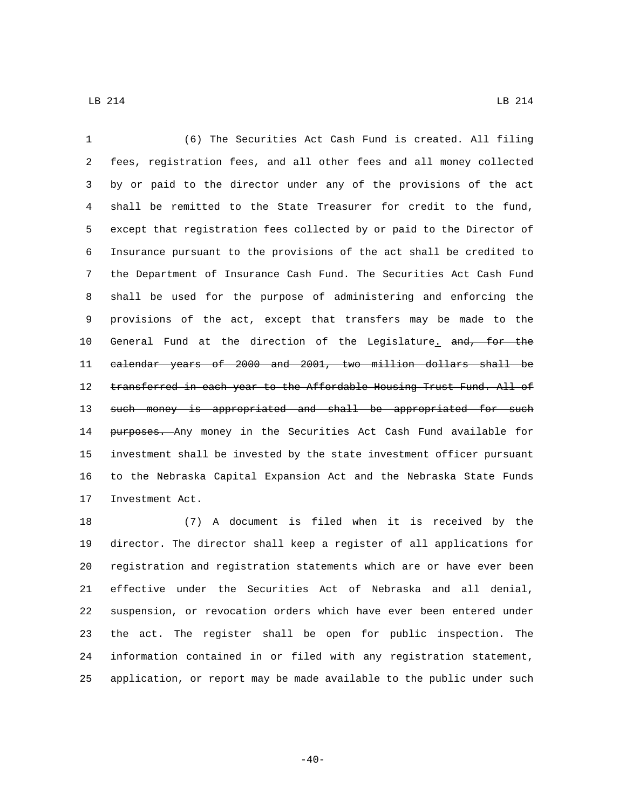(6) The Securities Act Cash Fund is created. All filing fees, registration fees, and all other fees and all money collected by or paid to the director under any of the provisions of the act shall be remitted to the State Treasurer for credit to the fund, except that registration fees collected by or paid to the Director of Insurance pursuant to the provisions of the act shall be credited to the Department of Insurance Cash Fund. The Securities Act Cash Fund shall be used for the purpose of administering and enforcing the provisions of the act, except that transfers may be made to the 10 General Fund at the direction of the Legislature. and, for the calendar years of 2000 and 2001, two million dollars shall be 12 transferred in each year to the Affordable Housing Trust Fund. All of 13 such money is appropriated and shall be appropriated for such 14 purposes. Any money in the Securities Act Cash Fund available for investment shall be invested by the state investment officer pursuant to the Nebraska Capital Expansion Act and the Nebraska State Funds 17 Investment Act.

 (7) A document is filed when it is received by the director. The director shall keep a register of all applications for registration and registration statements which are or have ever been effective under the Securities Act of Nebraska and all denial, suspension, or revocation orders which have ever been entered under the act. The register shall be open for public inspection. The information contained in or filed with any registration statement, application, or report may be made available to the public under such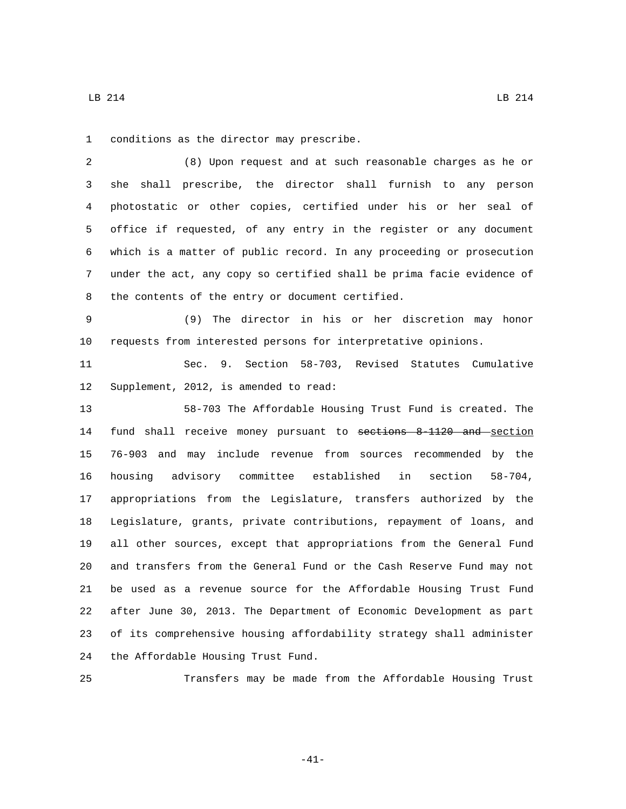1 conditions as the director may prescribe.

 (8) Upon request and at such reasonable charges as he or she shall prescribe, the director shall furnish to any person photostatic or other copies, certified under his or her seal of office if requested, of any entry in the register or any document which is a matter of public record. In any proceeding or prosecution under the act, any copy so certified shall be prima facie evidence of 8 the contents of the entry or document certified.

 (9) The director in his or her discretion may honor requests from interested persons for interpretative opinions.

 Sec. 9. Section 58-703, Revised Statutes Cumulative 12 Supplement, 2012, is amended to read:

 58-703 The Affordable Housing Trust Fund is created. The 14 fund shall receive money pursuant to sections 8-1120 and section 76-903 and may include revenue from sources recommended by the housing advisory committee established in section 58-704, appropriations from the Legislature, transfers authorized by the Legislature, grants, private contributions, repayment of loans, and all other sources, except that appropriations from the General Fund and transfers from the General Fund or the Cash Reserve Fund may not be used as a revenue source for the Affordable Housing Trust Fund after June 30, 2013. The Department of Economic Development as part of its comprehensive housing affordability strategy shall administer 24 the Affordable Housing Trust Fund.

Transfers may be made from the Affordable Housing Trust

-41-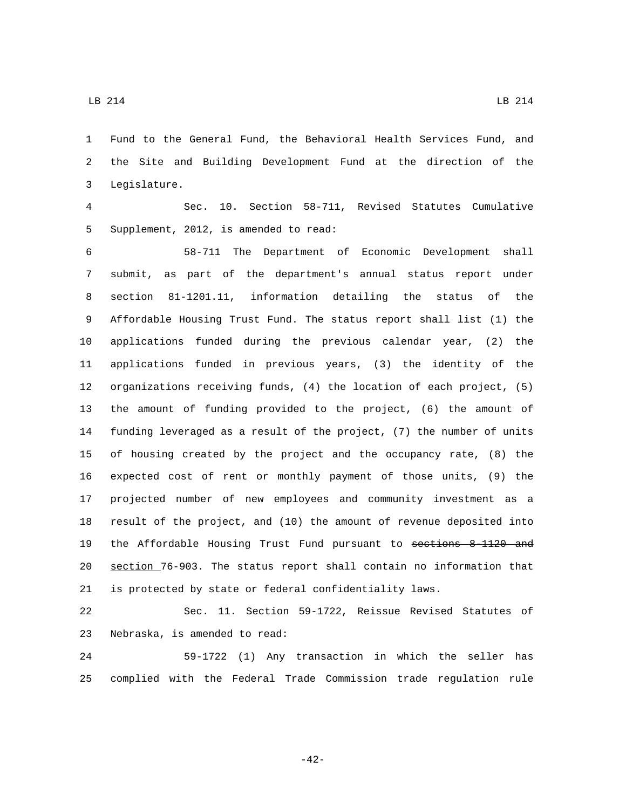Fund to the General Fund, the Behavioral Health Services Fund, and the Site and Building Development Fund at the direction of the Legislature.3

 Sec. 10. Section 58-711, Revised Statutes Cumulative 5 Supplement, 2012, is amended to read:

 58-711 The Department of Economic Development shall submit, as part of the department's annual status report under section 81-1201.11, information detailing the status of the Affordable Housing Trust Fund. The status report shall list (1) the applications funded during the previous calendar year, (2) the applications funded in previous years, (3) the identity of the organizations receiving funds, (4) the location of each project, (5) the amount of funding provided to the project, (6) the amount of funding leveraged as a result of the project, (7) the number of units of housing created by the project and the occupancy rate, (8) the expected cost of rent or monthly payment of those units, (9) the projected number of new employees and community investment as a result of the project, and (10) the amount of revenue deposited into the Affordable Housing Trust Fund pursuant to sections 8-1120 and section 76-903. The status report shall contain no information that is protected by state or federal confidentiality laws.

 Sec. 11. Section 59-1722, Reissue Revised Statutes of 23 Nebraska, is amended to read:

 59-1722 (1) Any transaction in which the seller has complied with the Federal Trade Commission trade regulation rule

-42-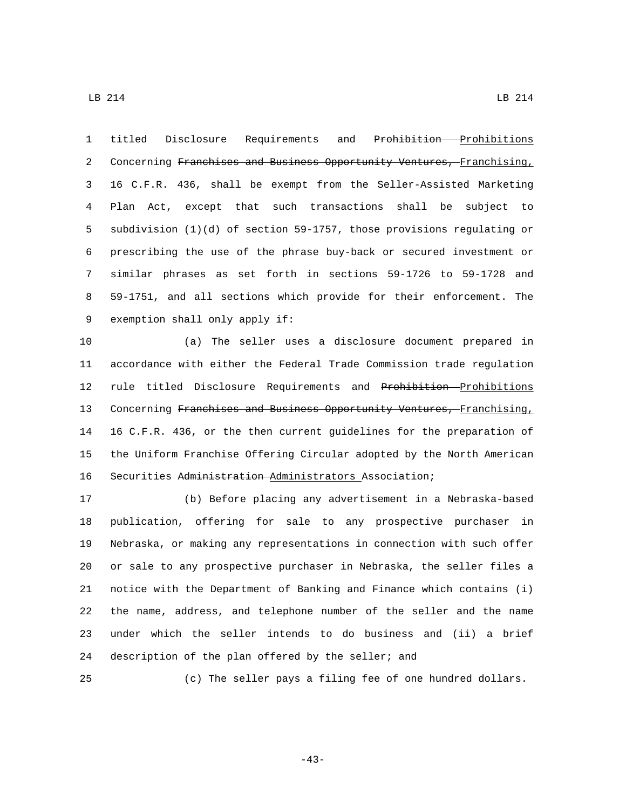titled Disclosure Requirements and Prohibition Prohibitions 2 Concerning Franchises and Business Opportunity Ventures, Franchising, 16 C.F.R. 436, shall be exempt from the Seller-Assisted Marketing Plan Act, except that such transactions shall be subject to subdivision (1)(d) of section 59-1757, those provisions regulating or prescribing the use of the phrase buy-back or secured investment or similar phrases as set forth in sections 59-1726 to 59-1728 and 59-1751, and all sections which provide for their enforcement. The 9 exemption shall only apply if:

 (a) The seller uses a disclosure document prepared in accordance with either the Federal Trade Commission trade regulation 12 rule titled Disclosure Requirements and Prohibition-Prohibitions 13 Concerning Franchises and Business Opportunity Ventures, Franchising, 16 C.F.R. 436, or the then current guidelines for the preparation of the Uniform Franchise Offering Circular adopted by the North American Securities Administration Administrators Association;

 (b) Before placing any advertisement in a Nebraska-based publication, offering for sale to any prospective purchaser in Nebraska, or making any representations in connection with such offer or sale to any prospective purchaser in Nebraska, the seller files a notice with the Department of Banking and Finance which contains (i) the name, address, and telephone number of the seller and the name under which the seller intends to do business and (ii) a brief description of the plan offered by the seller; and

(c) The seller pays a filing fee of one hundred dollars.

-43-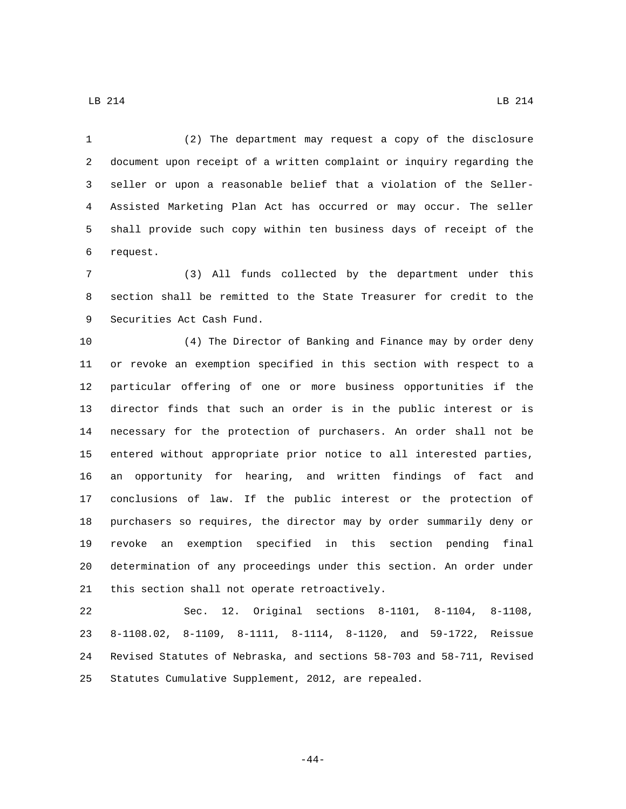(2) The department may request a copy of the disclosure document upon receipt of a written complaint or inquiry regarding the seller or upon a reasonable belief that a violation of the Seller- Assisted Marketing Plan Act has occurred or may occur. The seller shall provide such copy within ten business days of receipt of the request.6

 (3) All funds collected by the department under this section shall be remitted to the State Treasurer for credit to the 9 Securities Act Cash Fund.

 (4) The Director of Banking and Finance may by order deny or revoke an exemption specified in this section with respect to a particular offering of one or more business opportunities if the director finds that such an order is in the public interest or is necessary for the protection of purchasers. An order shall not be entered without appropriate prior notice to all interested parties, an opportunity for hearing, and written findings of fact and conclusions of law. If the public interest or the protection of purchasers so requires, the director may by order summarily deny or revoke an exemption specified in this section pending final determination of any proceedings under this section. An order under 21 this section shall not operate retroactively.

 Sec. 12. Original sections 8-1101, 8-1104, 8-1108, 8-1108.02, 8-1109, 8-1111, 8-1114, 8-1120, and 59-1722, Reissue Revised Statutes of Nebraska, and sections 58-703 and 58-711, Revised Statutes Cumulative Supplement, 2012, are repealed.

-44-